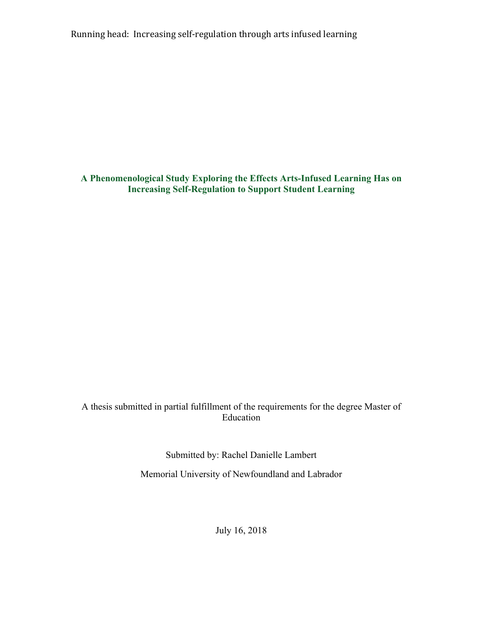Running head: Increasing self-regulation through arts infused learning

**A Phenomenological Study Exploring the Effects Arts-Infused Learning Has on Increasing Self-Regulation to Support Student Learning**

A thesis submitted in partial fulfillment of the requirements for the degree Master of Education

> Submitted by: Rachel Danielle Lambert Memorial University of Newfoundland and Labrador

> > July 16, 2018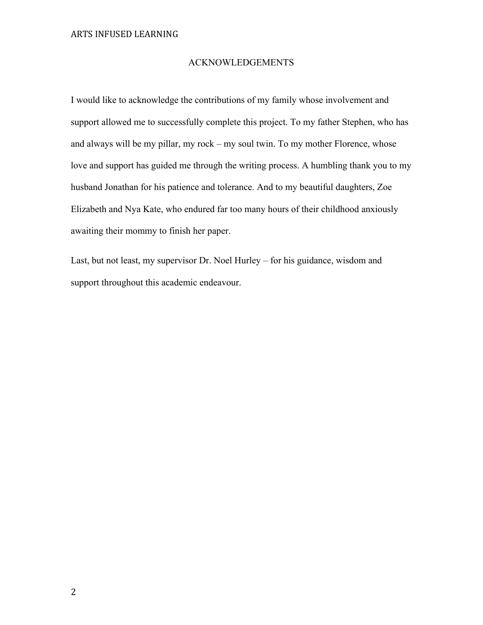### ACKNOWLEDGEMENTS

I would like to acknowledge the contributions of my family whose involvement and support allowed me to successfully complete this project. To my father Stephen, who has and always will be my pillar, my rock – my soul twin. To my mother Florence, whose love and support has guided me through the writing process. A humbling thank you to my husband Jonathan for his patience and tolerance. And to my beautiful daughters, Zoe Elizabeth and Nya Kate, who endured far too many hours of their childhood anxiously awaiting their mommy to finish her paper.

Last, but not least, my supervisor Dr. Noel Hurley – for his guidance, wisdom and support throughout this academic endeavour.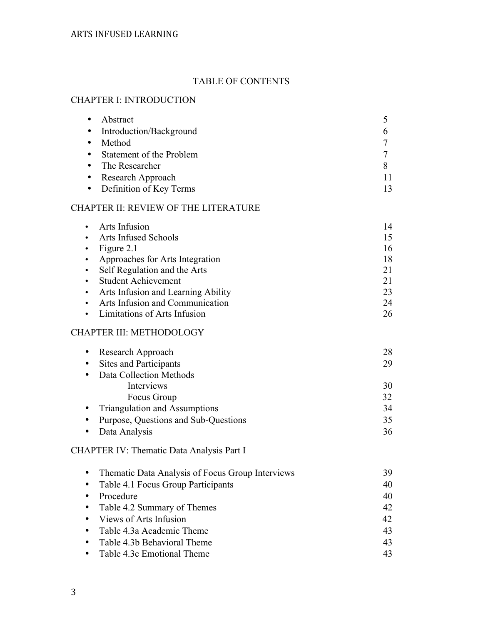# TABLE OF CONTENTS

# CHAPTER I: INTRODUCTION

| Abstract<br>٠<br>Introduction/Background<br>٠<br>Method<br>٠<br><b>Statement of the Problem</b><br>٠<br>The Researcher<br>٠<br>Research Approach<br>$\bullet$<br>Definition of Key Terms<br>$\bullet$                                                                                                                                                              | 5<br>6<br>7<br>7<br>8<br>11<br>13                  |
|--------------------------------------------------------------------------------------------------------------------------------------------------------------------------------------------------------------------------------------------------------------------------------------------------------------------------------------------------------------------|----------------------------------------------------|
| <b>CHAPTER II: REVIEW OF THE LITERATURE</b>                                                                                                                                                                                                                                                                                                                        |                                                    |
| Arts Infusion<br>$\bullet$<br>Arts Infused Schools<br>$\bullet$<br>Figure 2.1<br>٠<br>Approaches for Arts Integration<br>٠<br>Self Regulation and the Arts<br>$\bullet$<br><b>Student Achievement</b><br>$\bullet$<br>Arts Infusion and Learning Ability<br>$\bullet$<br>Arts Infusion and Communication<br>$\bullet$<br>Limitations of Arts Infusion<br>$\bullet$ | 14<br>15<br>16<br>18<br>21<br>21<br>23<br>24<br>26 |
| <b>CHAPTER III: METHODOLOGY</b>                                                                                                                                                                                                                                                                                                                                    |                                                    |
| Research Approach<br>٠<br>Sites and Participants<br>٠<br>Data Collection Methods<br>$\bullet$<br>Interviews<br>Focus Group<br><b>Triangulation and Assumptions</b><br>Purpose, Questions and Sub-Questions<br>٠<br>Data Analysis<br>$\bullet$                                                                                                                      | 28<br>29<br>30<br>32<br>34<br>35<br>36             |
| <b>CHAPTER IV: Thematic Data Analysis Part I</b>                                                                                                                                                                                                                                                                                                                   |                                                    |
| Thematic Data Analysis of Focus Group Interviews<br>Table 4.1 Focus Group Participants<br>Procedure<br>Table 4.2 Summary of Themes<br>Views of Arts Infusion<br>Table 4.3a Academic Theme                                                                                                                                                                          | 39<br>40<br>40<br>42<br>42<br>43                   |
| Table 4.3h Behavioral Theme                                                                                                                                                                                                                                                                                                                                        | 43                                                 |

Table 4.3b Behavioral Theme 43<br>
Table 4.3c Emotional Theme 43 • Table 4.3c Emotional Theme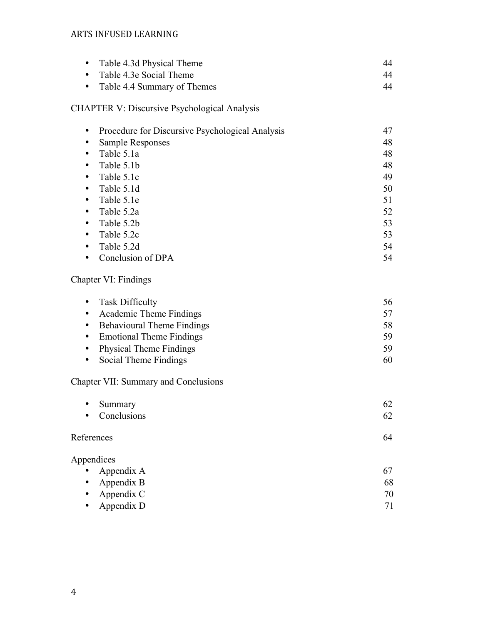| Table 4.3d Physical Theme<br>$\bullet$<br>Table 4.3e Social Theme<br>٠ | 44<br>44 |
|------------------------------------------------------------------------|----------|
| Table 4.4 Summary of Themes<br>٠                                       | 44       |
| <b>CHAPTER V: Discursive Psychological Analysis</b>                    |          |
| Procedure for Discursive Psychological Analysis<br>$\bullet$           | 47       |
| <b>Sample Responses</b><br>٠                                           | 48       |
| Table 5.1a<br>٠                                                        | 48       |
| Table 5.1b<br>٠                                                        | 48       |
| Table 5.1c<br>٠                                                        | 49       |
| Table 5.1d<br>$\bullet$                                                | 50       |
| Table 5.1e<br>٠                                                        | 51       |
| Table 5.2a<br>٠                                                        | 52       |
| Table 5.2b<br>$\bullet$                                                | 53       |
| Table 5.2c<br>$\bullet$                                                | 53       |
| Table 5.2d<br>$\bullet$                                                | 54       |
| Conclusion of DPA<br>٠                                                 | 54       |
| <b>Chapter VI: Findings</b>                                            |          |
| <b>Task Difficulty</b><br>$\bullet$                                    | 56       |
| Academic Theme Findings<br>$\bullet$                                   | 57       |
| <b>Behavioural Theme Findings</b><br>$\bullet$                         | 58       |
| <b>Emotional Theme Findings</b><br>$\bullet$                           | 59       |
| Physical Theme Findings<br>$\bullet$                                   | 59       |
| Social Theme Findings<br>$\bullet$                                     | 60       |
| <b>Chapter VII: Summary and Conclusions</b>                            |          |
| Summary<br>٠                                                           | 62       |
| Conclusions                                                            | 62       |
| References                                                             | 64       |
| Appendices                                                             |          |
| Appendix A                                                             | 67       |
| Appendix B                                                             | 68       |
| Appendix C                                                             | 70       |
| Appendix D                                                             | 71       |
|                                                                        |          |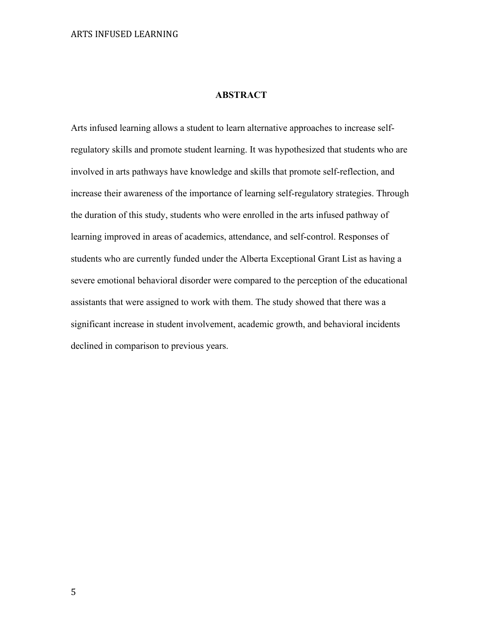### **ABSTRACT**

Arts infused learning allows a student to learn alternative approaches to increase selfregulatory skills and promote student learning. It was hypothesized that students who are involved in arts pathways have knowledge and skills that promote self-reflection, and increase their awareness of the importance of learning self-regulatory strategies. Through the duration of this study, students who were enrolled in the arts infused pathway of learning improved in areas of academics, attendance, and self-control. Responses of students who are currently funded under the Alberta Exceptional Grant List as having a severe emotional behavioral disorder were compared to the perception of the educational assistants that were assigned to work with them. The study showed that there was a significant increase in student involvement, academic growth, and behavioral incidents declined in comparison to previous years.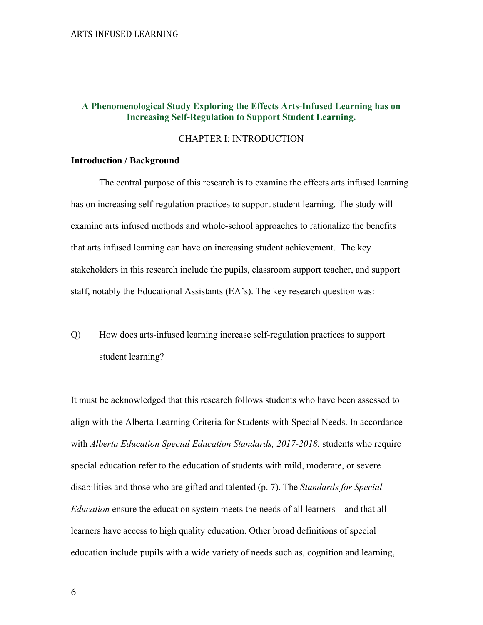# **A Phenomenological Study Exploring the Effects Arts-Infused Learning has on Increasing Self-Regulation to Support Student Learning.**

# CHAPTER I: INTRODUCTION

#### **Introduction / Background**

The central purpose of this research is to examine the effects arts infused learning has on increasing self-regulation practices to support student learning. The study will examine arts infused methods and whole-school approaches to rationalize the benefits that arts infused learning can have on increasing student achievement. The key stakeholders in this research include the pupils, classroom support teacher, and support staff, notably the Educational Assistants (EA's). The key research question was:

Q) How does arts-infused learning increase self-regulation practices to support student learning?

It must be acknowledged that this research follows students who have been assessed to align with the Alberta Learning Criteria for Students with Special Needs. In accordance with *Alberta Education Special Education Standards, 2017-2018*, students who require special education refer to the education of students with mild, moderate, or severe disabilities and those who are gifted and talented (p. 7). The *Standards for Special Education* ensure the education system meets the needs of all learners – and that all learners have access to high quality education. Other broad definitions of special education include pupils with a wide variety of needs such as, cognition and learning,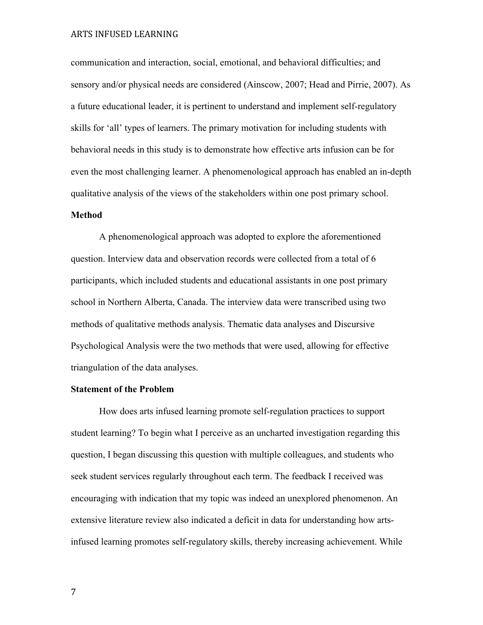communication and interaction, social, emotional, and behavioral difficulties; and sensory and/or physical needs are considered (Ainscow, 2007; Head and Pirrie, 2007). As a future educational leader, it is pertinent to understand and implement self-regulatory skills for 'all' types of learners. The primary motivation for including students with behavioral needs in this study is to demonstrate how effective arts infusion can be for even the most challenging learner. A phenomenological approach has enabled an in-depth qualitative analysis of the views of the stakeholders within one post primary school.

#### **Method**

A phenomenological approach was adopted to explore the aforementioned question. Interview data and observation records were collected from a total of 6 participants, which included students and educational assistants in one post primary school in Northern Alberta, Canada. The interview data were transcribed using two methods of qualitative methods analysis. Thematic data analyses and Discursive Psychological Analysis were the two methods that were used, allowing for effective triangulation of the data analyses.

## **Statement of the Problem**

How does arts infused learning promote self-regulation practices to support student learning? To begin what I perceive as an uncharted investigation regarding this question, I began discussing this question with multiple colleagues, and students who seek student services regularly throughout each term. The feedback I received was encouraging with indication that my topic was indeed an unexplored phenomenon. An extensive literature review also indicated a deficit in data for understanding how artsinfused learning promotes self-regulatory skills, thereby increasing achievement. While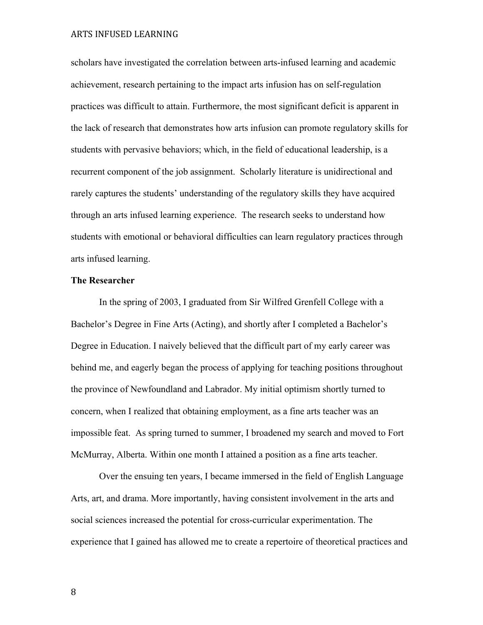scholars have investigated the correlation between arts-infused learning and academic achievement, research pertaining to the impact arts infusion has on self-regulation practices was difficult to attain. Furthermore, the most significant deficit is apparent in the lack of research that demonstrates how arts infusion can promote regulatory skills for students with pervasive behaviors; which, in the field of educational leadership, is a recurrent component of the job assignment. Scholarly literature is unidirectional and rarely captures the students' understanding of the regulatory skills they have acquired through an arts infused learning experience. The research seeks to understand how students with emotional or behavioral difficulties can learn regulatory practices through arts infused learning.

#### **The Researcher**

In the spring of 2003, I graduated from Sir Wilfred Grenfell College with a Bachelor's Degree in Fine Arts (Acting), and shortly after I completed a Bachelor's Degree in Education. I naively believed that the difficult part of my early career was behind me, and eagerly began the process of applying for teaching positions throughout the province of Newfoundland and Labrador. My initial optimism shortly turned to concern, when I realized that obtaining employment, as a fine arts teacher was an impossible feat. As spring turned to summer, I broadened my search and moved to Fort McMurray, Alberta. Within one month I attained a position as a fine arts teacher.

Over the ensuing ten years, I became immersed in the field of English Language Arts, art, and drama. More importantly, having consistent involvement in the arts and social sciences increased the potential for cross-curricular experimentation. The experience that I gained has allowed me to create a repertoire of theoretical practices and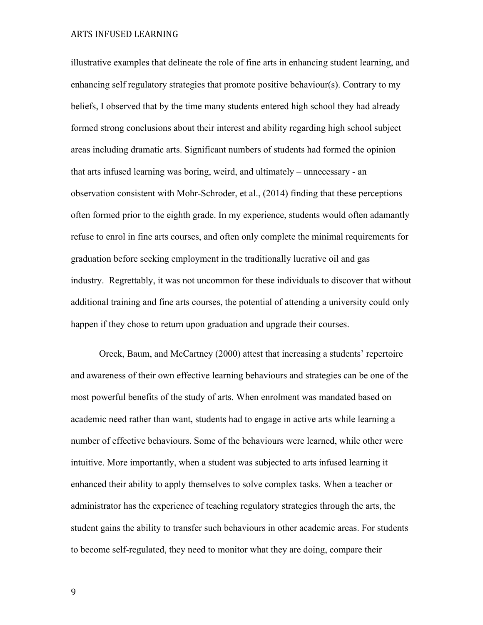illustrative examples that delineate the role of fine arts in enhancing student learning, and enhancing self regulatory strategies that promote positive behaviour(s). Contrary to my beliefs, I observed that by the time many students entered high school they had already formed strong conclusions about their interest and ability regarding high school subject areas including dramatic arts. Significant numbers of students had formed the opinion that arts infused learning was boring, weird, and ultimately – unnecessary - an observation consistent with Mohr-Schroder, et al., (2014) finding that these perceptions often formed prior to the eighth grade. In my experience, students would often adamantly refuse to enrol in fine arts courses, and often only complete the minimal requirements for graduation before seeking employment in the traditionally lucrative oil and gas industry. Regrettably, it was not uncommon for these individuals to discover that without additional training and fine arts courses, the potential of attending a university could only happen if they chose to return upon graduation and upgrade their courses.

Oreck, Baum, and McCartney (2000) attest that increasing a students' repertoire and awareness of their own effective learning behaviours and strategies can be one of the most powerful benefits of the study of arts. When enrolment was mandated based on academic need rather than want, students had to engage in active arts while learning a number of effective behaviours. Some of the behaviours were learned, while other were intuitive. More importantly, when a student was subjected to arts infused learning it enhanced their ability to apply themselves to solve complex tasks. When a teacher or administrator has the experience of teaching regulatory strategies through the arts, the student gains the ability to transfer such behaviours in other academic areas. For students to become self-regulated, they need to monitor what they are doing, compare their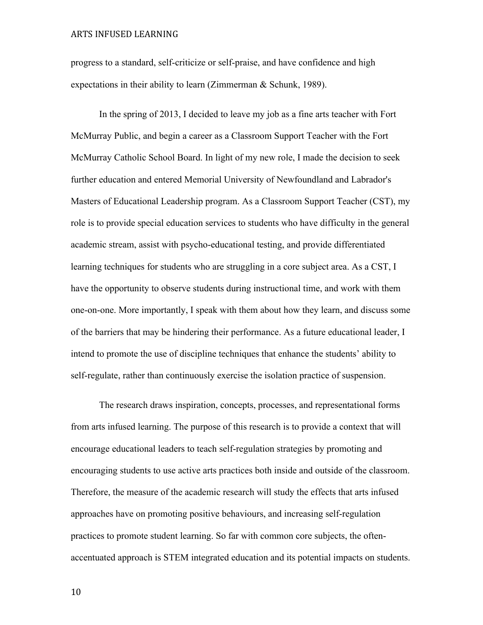progress to a standard, self-criticize or self-praise, and have confidence and high expectations in their ability to learn (Zimmerman & Schunk, 1989).

In the spring of 2013, I decided to leave my job as a fine arts teacher with Fort McMurray Public, and begin a career as a Classroom Support Teacher with the Fort McMurray Catholic School Board. In light of my new role, I made the decision to seek further education and entered Memorial University of Newfoundland and Labrador's Masters of Educational Leadership program. As a Classroom Support Teacher (CST), my role is to provide special education services to students who have difficulty in the general academic stream, assist with psycho-educational testing, and provide differentiated learning techniques for students who are struggling in a core subject area. As a CST, I have the opportunity to observe students during instructional time, and work with them one-on-one. More importantly, I speak with them about how they learn, and discuss some of the barriers that may be hindering their performance. As a future educational leader, I intend to promote the use of discipline techniques that enhance the students' ability to self-regulate, rather than continuously exercise the isolation practice of suspension.

The research draws inspiration, concepts, processes, and representational forms from arts infused learning. The purpose of this research is to provide a context that will encourage educational leaders to teach self-regulation strategies by promoting and encouraging students to use active arts practices both inside and outside of the classroom. Therefore, the measure of the academic research will study the effects that arts infused approaches have on promoting positive behaviours, and increasing self-regulation practices to promote student learning. So far with common core subjects, the oftenaccentuated approach is STEM integrated education and its potential impacts on students.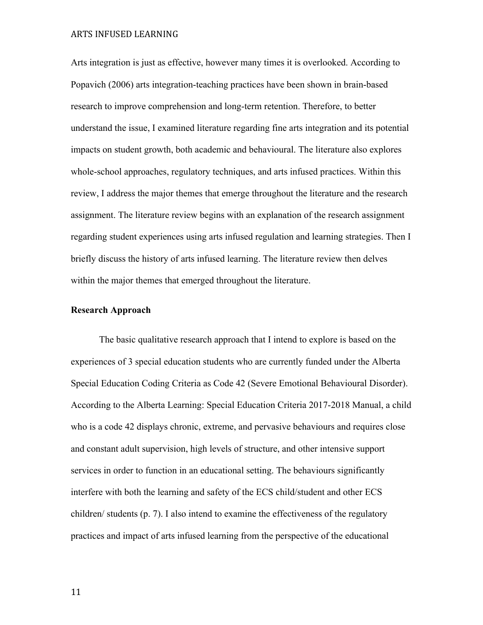Arts integration is just as effective, however many times it is overlooked. According to Popavich (2006) arts integration-teaching practices have been shown in brain-based research to improve comprehension and long-term retention. Therefore, to better understand the issue, I examined literature regarding fine arts integration and its potential impacts on student growth, both academic and behavioural. The literature also explores whole-school approaches, regulatory techniques, and arts infused practices. Within this review, I address the major themes that emerge throughout the literature and the research assignment. The literature review begins with an explanation of the research assignment regarding student experiences using arts infused regulation and learning strategies. Then I briefly discuss the history of arts infused learning. The literature review then delves within the major themes that emerged throughout the literature.

### **Research Approach**

The basic qualitative research approach that I intend to explore is based on the experiences of 3 special education students who are currently funded under the Alberta Special Education Coding Criteria as Code 42 (Severe Emotional Behavioural Disorder). According to the Alberta Learning: Special Education Criteria 2017-2018 Manual, a child who is a code 42 displays chronic, extreme, and pervasive behaviours and requires close and constant adult supervision, high levels of structure, and other intensive support services in order to function in an educational setting. The behaviours significantly interfere with both the learning and safety of the ECS child/student and other ECS children/ students (p. 7). I also intend to examine the effectiveness of the regulatory practices and impact of arts infused learning from the perspective of the educational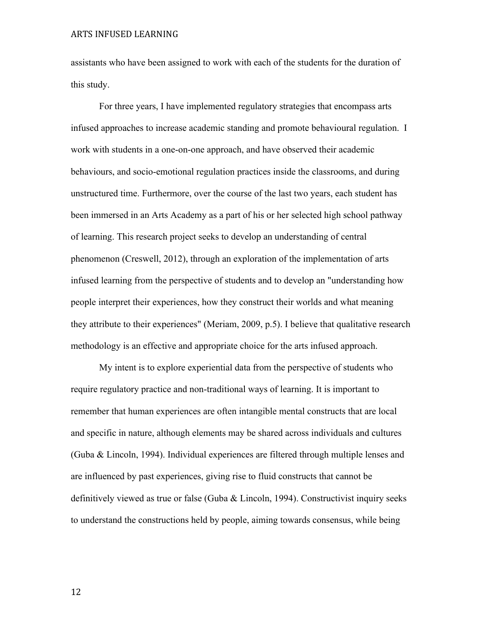assistants who have been assigned to work with each of the students for the duration of this study.

For three years, I have implemented regulatory strategies that encompass arts infused approaches to increase academic standing and promote behavioural regulation. I work with students in a one-on-one approach, and have observed their academic behaviours, and socio-emotional regulation practices inside the classrooms, and during unstructured time. Furthermore, over the course of the last two years, each student has been immersed in an Arts Academy as a part of his or her selected high school pathway of learning. This research project seeks to develop an understanding of central phenomenon (Creswell, 2012), through an exploration of the implementation of arts infused learning from the perspective of students and to develop an "understanding how people interpret their experiences, how they construct their worlds and what meaning they attribute to their experiences" (Meriam, 2009, p.5). I believe that qualitative research methodology is an effective and appropriate choice for the arts infused approach.

My intent is to explore experiential data from the perspective of students who require regulatory practice and non-traditional ways of learning. It is important to remember that human experiences are often intangible mental constructs that are local and specific in nature, although elements may be shared across individuals and cultures (Guba & Lincoln, 1994). Individual experiences are filtered through multiple lenses and are influenced by past experiences, giving rise to fluid constructs that cannot be definitively viewed as true or false (Guba & Lincoln, 1994). Constructivist inquiry seeks to understand the constructions held by people, aiming towards consensus, while being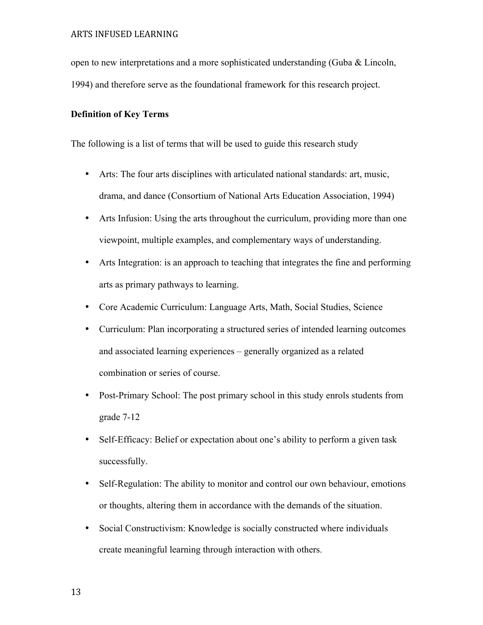open to new interpretations and a more sophisticated understanding (Guba & Lincoln, 1994) and therefore serve as the foundational framework for this research project.

### **Definition of Key Terms**

The following is a list of terms that will be used to guide this research study

- Arts: The four arts disciplines with articulated national standards: art, music, drama, and dance (Consortium of National Arts Education Association, 1994)
- Arts Infusion: Using the arts throughout the curriculum, providing more than one viewpoint, multiple examples, and complementary ways of understanding.
- Arts Integration: is an approach to teaching that integrates the fine and performing arts as primary pathways to learning.
- Core Academic Curriculum: Language Arts, Math, Social Studies, Science
- Curriculum: Plan incorporating a structured series of intended learning outcomes and associated learning experiences – generally organized as a related combination or series of course.
- Post-Primary School: The post primary school in this study enrols students from grade 7-12
- Self-Efficacy: Belief or expectation about one's ability to perform a given task successfully.
- Self-Regulation: The ability to monitor and control our own behaviour, emotions or thoughts, altering them in accordance with the demands of the situation.
- Social Constructivism: Knowledge is socially constructed where individuals create meaningful learning through interaction with others.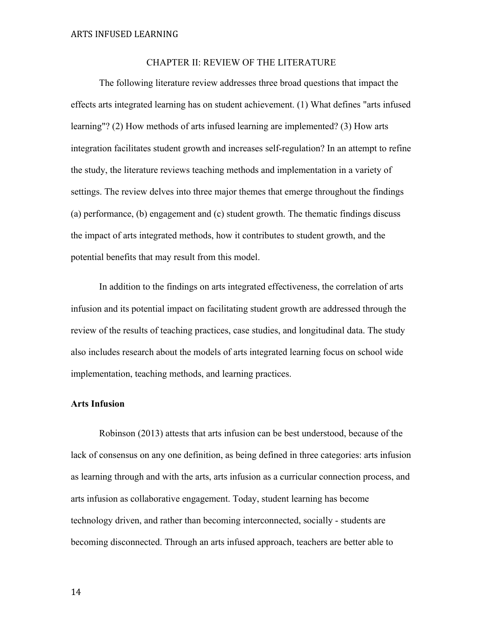# CHAPTER II: REVIEW OF THE LITERATURE

The following literature review addresses three broad questions that impact the effects arts integrated learning has on student achievement. (1) What defines "arts infused learning"? (2) How methods of arts infused learning are implemented? (3) How arts integration facilitates student growth and increases self-regulation? In an attempt to refine the study, the literature reviews teaching methods and implementation in a variety of settings. The review delves into three major themes that emerge throughout the findings (a) performance, (b) engagement and (c) student growth. The thematic findings discuss the impact of arts integrated methods, how it contributes to student growth, and the potential benefits that may result from this model.

In addition to the findings on arts integrated effectiveness, the correlation of arts infusion and its potential impact on facilitating student growth are addressed through the review of the results of teaching practices, case studies, and longitudinal data. The study also includes research about the models of arts integrated learning focus on school wide implementation, teaching methods, and learning practices.

### **Arts Infusion**

Robinson (2013) attests that arts infusion can be best understood, because of the lack of consensus on any one definition, as being defined in three categories: arts infusion as learning through and with the arts, arts infusion as a curricular connection process, and arts infusion as collaborative engagement. Today, student learning has become technology driven, and rather than becoming interconnected, socially - students are becoming disconnected. Through an arts infused approach, teachers are better able to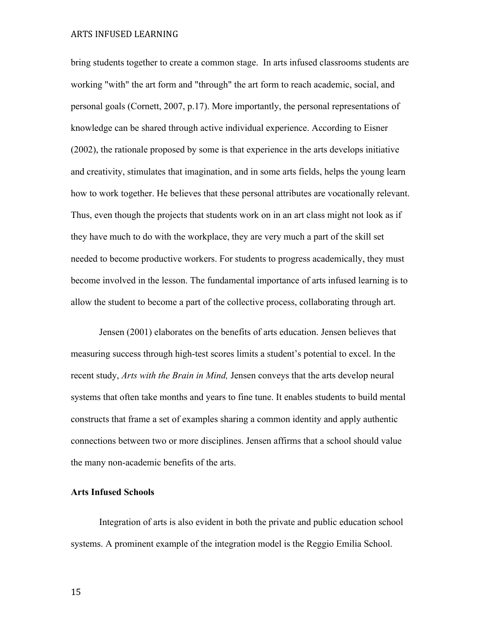bring students together to create a common stage. In arts infused classrooms students are working "with" the art form and "through" the art form to reach academic, social, and personal goals (Cornett, 2007, p.17). More importantly, the personal representations of knowledge can be shared through active individual experience. According to Eisner (2002), the rationale proposed by some is that experience in the arts develops initiative and creativity, stimulates that imagination, and in some arts fields, helps the young learn how to work together. He believes that these personal attributes are vocationally relevant. Thus, even though the projects that students work on in an art class might not look as if they have much to do with the workplace, they are very much a part of the skill set needed to become productive workers. For students to progress academically, they must become involved in the lesson. The fundamental importance of arts infused learning is to allow the student to become a part of the collective process, collaborating through art.

Jensen (2001) elaborates on the benefits of arts education. Jensen believes that measuring success through high-test scores limits a student's potential to excel. In the recent study, *Arts with the Brain in Mind,* Jensen conveys that the arts develop neural systems that often take months and years to fine tune. It enables students to build mental constructs that frame a set of examples sharing a common identity and apply authentic connections between two or more disciplines. Jensen affirms that a school should value the many non-academic benefits of the arts.

#### **Arts Infused Schools**

Integration of arts is also evident in both the private and public education school systems. A prominent example of the integration model is the Reggio Emilia School.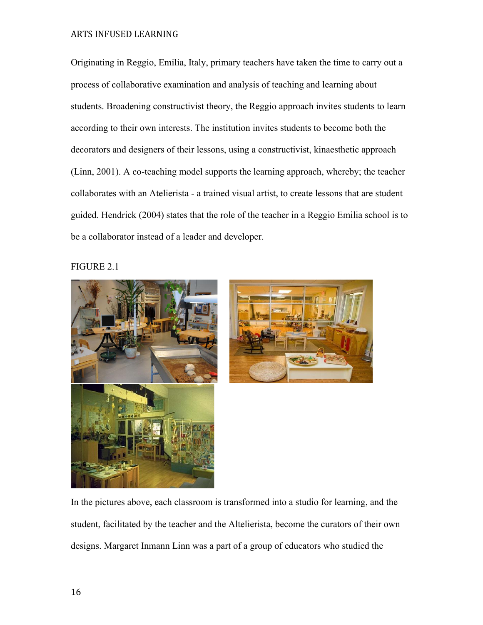Originating in Reggio, Emilia, Italy, primary teachers have taken the time to carry out a process of collaborative examination and analysis of teaching and learning about students. Broadening constructivist theory, the Reggio approach invites students to learn according to their own interests. The institution invites students to become both the decorators and designers of their lessons, using a constructivist, kinaesthetic approach (Linn, 2001). A co-teaching model supports the learning approach, whereby; the teacher collaborates with an Atelierista - a trained visual artist, to create lessons that are student guided. Hendrick (2004) states that the role of the teacher in a Reggio Emilia school is to be a collaborator instead of a leader and developer.

# FIGURE 2.1





In the pictures above, each classroom is transformed into a studio for learning, and the student, facilitated by the teacher and the Altelierista, become the curators of their own designs. Margaret Inmann Linn was a part of a group of educators who studied the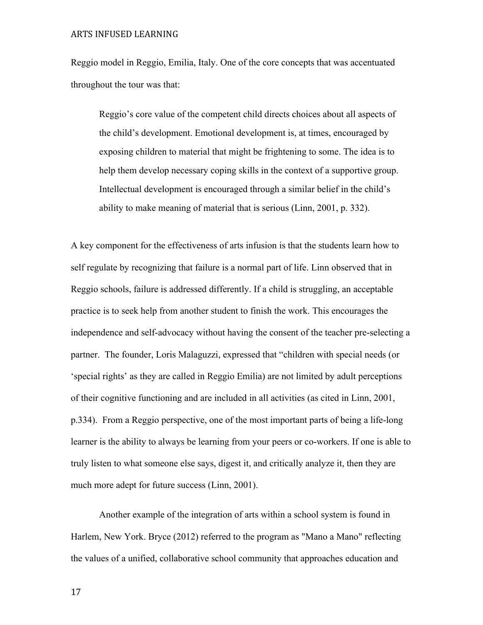Reggio model in Reggio, Emilia, Italy. One of the core concepts that was accentuated throughout the tour was that:

Reggio's core value of the competent child directs choices about all aspects of the child's development. Emotional development is, at times, encouraged by exposing children to material that might be frightening to some. The idea is to help them develop necessary coping skills in the context of a supportive group. Intellectual development is encouraged through a similar belief in the child's ability to make meaning of material that is serious (Linn, 2001, p. 332).

A key component for the effectiveness of arts infusion is that the students learn how to self regulate by recognizing that failure is a normal part of life. Linn observed that in Reggio schools, failure is addressed differently. If a child is struggling, an acceptable practice is to seek help from another student to finish the work. This encourages the independence and self-advocacy without having the consent of the teacher pre-selecting a partner. The founder, Loris Malaguzzi, expressed that "children with special needs (or 'special rights' as they are called in Reggio Emilia) are not limited by adult perceptions of their cognitive functioning and are included in all activities (as cited in Linn, 2001, p.334). From a Reggio perspective, one of the most important parts of being a life-long learner is the ability to always be learning from your peers or co-workers. If one is able to truly listen to what someone else says, digest it, and critically analyze it, then they are much more adept for future success (Linn, 2001).

Another example of the integration of arts within a school system is found in Harlem, New York. Bryce (2012) referred to the program as "Mano a Mano" reflecting the values of a unified, collaborative school community that approaches education and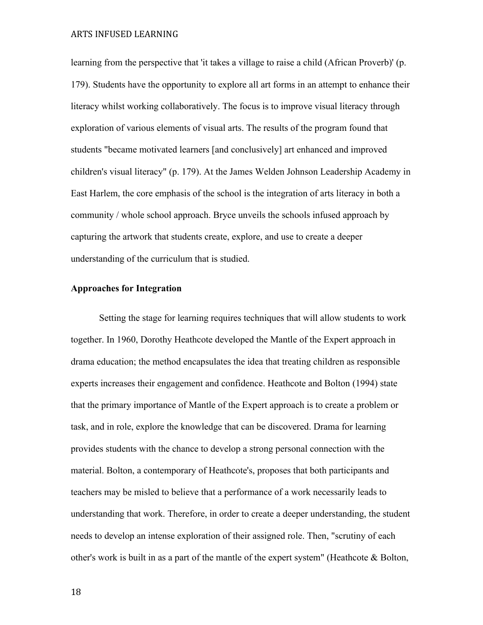learning from the perspective that 'it takes a village to raise a child (African Proverb)' (p. 179). Students have the opportunity to explore all art forms in an attempt to enhance their literacy whilst working collaboratively. The focus is to improve visual literacy through exploration of various elements of visual arts. The results of the program found that students "became motivated learners [and conclusively] art enhanced and improved children's visual literacy" (p. 179). At the James Welden Johnson Leadership Academy in East Harlem, the core emphasis of the school is the integration of arts literacy in both a community / whole school approach. Bryce unveils the schools infused approach by capturing the artwork that students create, explore, and use to create a deeper understanding of the curriculum that is studied.

### **Approaches for Integration**

Setting the stage for learning requires techniques that will allow students to work together. In 1960, Dorothy Heathcote developed the Mantle of the Expert approach in drama education; the method encapsulates the idea that treating children as responsible experts increases their engagement and confidence. Heathcote and Bolton (1994) state that the primary importance of Mantle of the Expert approach is to create a problem or task, and in role, explore the knowledge that can be discovered. Drama for learning provides students with the chance to develop a strong personal connection with the material. Bolton, a contemporary of Heathcote's, proposes that both participants and teachers may be misled to believe that a performance of a work necessarily leads to understanding that work. Therefore, in order to create a deeper understanding, the student needs to develop an intense exploration of their assigned role. Then, "scrutiny of each other's work is built in as a part of the mantle of the expert system" (Heathcote & Bolton,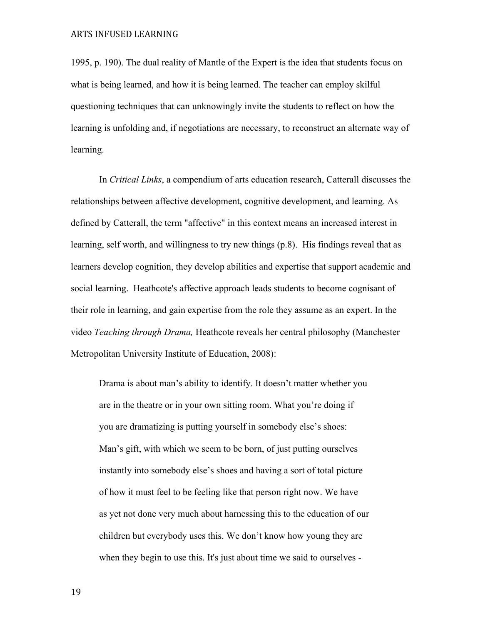1995, p. 190). The dual reality of Mantle of the Expert is the idea that students focus on what is being learned, and how it is being learned. The teacher can employ skilful questioning techniques that can unknowingly invite the students to reflect on how the learning is unfolding and, if negotiations are necessary, to reconstruct an alternate way of learning.

In *Critical Links*, a compendium of arts education research, Catterall discusses the relationships between affective development, cognitive development, and learning. As defined by Catterall, the term "affective" in this context means an increased interest in learning, self worth, and willingness to try new things (p.8). His findings reveal that as learners develop cognition, they develop abilities and expertise that support academic and social learning. Heathcote's affective approach leads students to become cognisant of their role in learning, and gain expertise from the role they assume as an expert. In the video *Teaching through Drama,* Heathcote reveals her central philosophy (Manchester Metropolitan University Institute of Education, 2008):

Drama is about man's ability to identify. It doesn't matter whether you are in the theatre or in your own sitting room. What you're doing if you are dramatizing is putting yourself in somebody else's shoes: Man's gift, with which we seem to be born, of just putting ourselves instantly into somebody else's shoes and having a sort of total picture of how it must feel to be feeling like that person right now. We have as yet not done very much about harnessing this to the education of our children but everybody uses this. We don't know how young they are when they begin to use this. It's just about time we said to ourselves -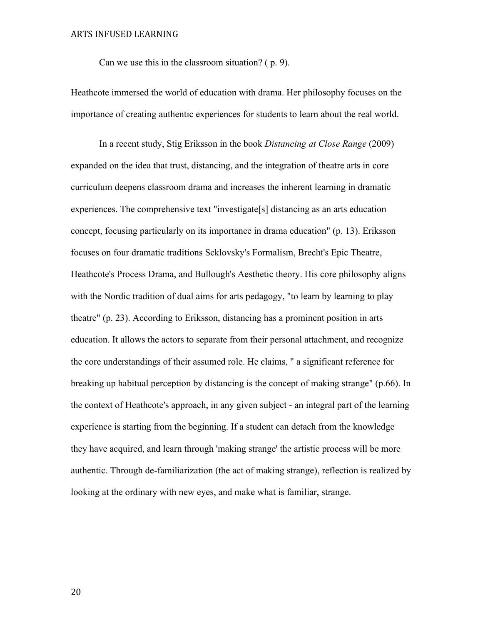Can we use this in the classroom situation? ( p. 9).

Heathcote immersed the world of education with drama. Her philosophy focuses on the importance of creating authentic experiences for students to learn about the real world.

In a recent study, Stig Eriksson in the book *Distancing at Close Range* (2009) expanded on the idea that trust, distancing, and the integration of theatre arts in core curriculum deepens classroom drama and increases the inherent learning in dramatic experiences. The comprehensive text "investigate[s] distancing as an arts education concept, focusing particularly on its importance in drama education" (p. 13). Eriksson focuses on four dramatic traditions Scklovsky's Formalism, Brecht's Epic Theatre, Heathcote's Process Drama, and Bullough's Aesthetic theory. His core philosophy aligns with the Nordic tradition of dual aims for arts pedagogy, "to learn by learning to play theatre" (p. 23). According to Eriksson, distancing has a prominent position in arts education. It allows the actors to separate from their personal attachment, and recognize the core understandings of their assumed role. He claims, " a significant reference for breaking up habitual perception by distancing is the concept of making strange" (p.66). In the context of Heathcote's approach, in any given subject - an integral part of the learning experience is starting from the beginning. If a student can detach from the knowledge they have acquired, and learn through 'making strange' the artistic process will be more authentic. Through de-familiarization (the act of making strange), reflection is realized by looking at the ordinary with new eyes, and make what is familiar, strange.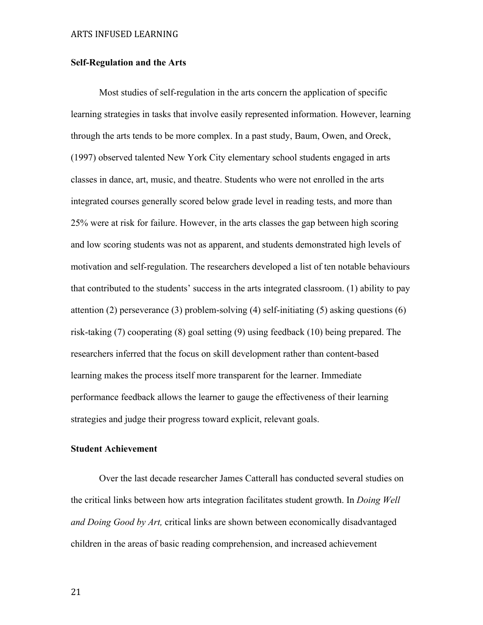#### **Self-Regulation and the Arts**

Most studies of self-regulation in the arts concern the application of specific learning strategies in tasks that involve easily represented information. However, learning through the arts tends to be more complex. In a past study, Baum, Owen, and Oreck, (1997) observed talented New York City elementary school students engaged in arts classes in dance, art, music, and theatre. Students who were not enrolled in the arts integrated courses generally scored below grade level in reading tests, and more than 25% were at risk for failure. However, in the arts classes the gap between high scoring and low scoring students was not as apparent, and students demonstrated high levels of motivation and self-regulation. The researchers developed a list of ten notable behaviours that contributed to the students' success in the arts integrated classroom. (1) ability to pay attention (2) perseverance (3) problem-solving (4) self-initiating (5) asking questions (6) risk-taking (7) cooperating (8) goal setting (9) using feedback (10) being prepared. The researchers inferred that the focus on skill development rather than content-based learning makes the process itself more transparent for the learner. Immediate performance feedback allows the learner to gauge the effectiveness of their learning strategies and judge their progress toward explicit, relevant goals.

## **Student Achievement**

Over the last decade researcher James Catterall has conducted several studies on the critical links between how arts integration facilitates student growth. In *Doing Well and Doing Good by Art,* critical links are shown between economically disadvantaged children in the areas of basic reading comprehension, and increased achievement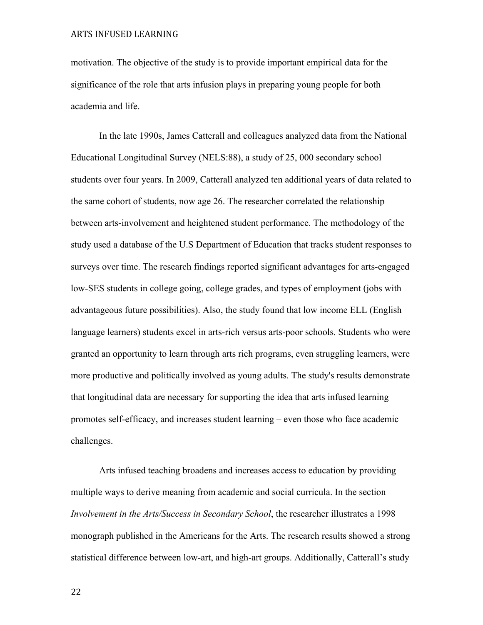motivation. The objective of the study is to provide important empirical data for the significance of the role that arts infusion plays in preparing young people for both academia and life.

In the late 1990s, James Catterall and colleagues analyzed data from the National Educational Longitudinal Survey (NELS:88), a study of 25, 000 secondary school students over four years. In 2009, Catterall analyzed ten additional years of data related to the same cohort of students, now age 26. The researcher correlated the relationship between arts-involvement and heightened student performance. The methodology of the study used a database of the U.S Department of Education that tracks student responses to surveys over time. The research findings reported significant advantages for arts-engaged low-SES students in college going, college grades, and types of employment (jobs with advantageous future possibilities). Also, the study found that low income ELL (English language learners) students excel in arts-rich versus arts-poor schools. Students who were granted an opportunity to learn through arts rich programs, even struggling learners, were more productive and politically involved as young adults. The study's results demonstrate that longitudinal data are necessary for supporting the idea that arts infused learning promotes self-efficacy, and increases student learning – even those who face academic challenges.

Arts infused teaching broadens and increases access to education by providing multiple ways to derive meaning from academic and social curricula. In the section *Involvement in the Arts/Success in Secondary School*, the researcher illustrates a 1998 monograph published in the Americans for the Arts. The research results showed a strong statistical difference between low-art, and high-art groups. Additionally, Catterall's study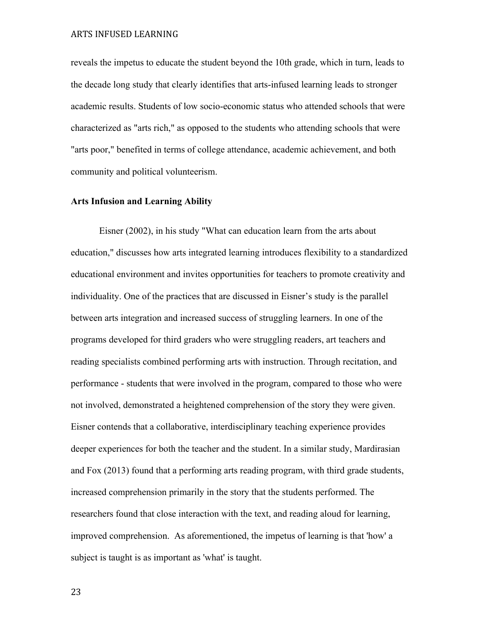reveals the impetus to educate the student beyond the 10th grade, which in turn, leads to the decade long study that clearly identifies that arts-infused learning leads to stronger academic results. Students of low socio-economic status who attended schools that were characterized as "arts rich," as opposed to the students who attending schools that were "arts poor," benefited in terms of college attendance, academic achievement, and both community and political volunteerism.

### **Arts Infusion and Learning Ability**

Eisner (2002), in his study "What can education learn from the arts about education," discusses how arts integrated learning introduces flexibility to a standardized educational environment and invites opportunities for teachers to promote creativity and individuality. One of the practices that are discussed in Eisner's study is the parallel between arts integration and increased success of struggling learners. In one of the programs developed for third graders who were struggling readers, art teachers and reading specialists combined performing arts with instruction. Through recitation, and performance - students that were involved in the program, compared to those who were not involved, demonstrated a heightened comprehension of the story they were given. Eisner contends that a collaborative, interdisciplinary teaching experience provides deeper experiences for both the teacher and the student. In a similar study, Mardirasian and Fox (2013) found that a performing arts reading program, with third grade students, increased comprehension primarily in the story that the students performed. The researchers found that close interaction with the text, and reading aloud for learning, improved comprehension. As aforementioned, the impetus of learning is that 'how' a subject is taught is as important as 'what' is taught.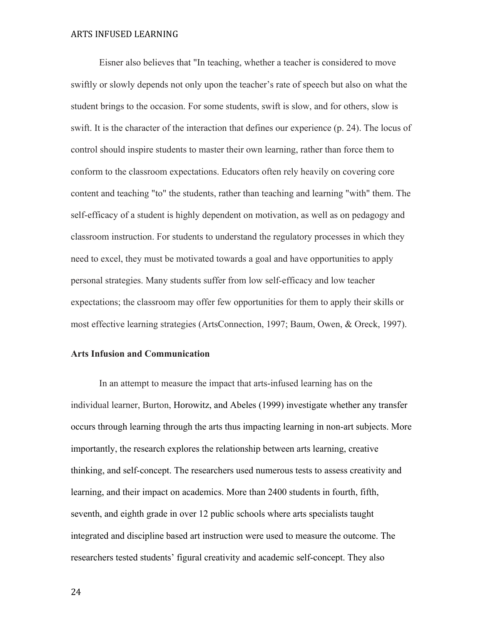Eisner also believes that "In teaching, whether a teacher is considered to move swiftly or slowly depends not only upon the teacher's rate of speech but also on what the student brings to the occasion. For some students, swift is slow, and for others, slow is swift. It is the character of the interaction that defines our experience (p. 24). The locus of control should inspire students to master their own learning, rather than force them to conform to the classroom expectations. Educators often rely heavily on covering core content and teaching "to" the students, rather than teaching and learning "with" them. The self-efficacy of a student is highly dependent on motivation, as well as on pedagogy and classroom instruction. For students to understand the regulatory processes in which they need to excel, they must be motivated towards a goal and have opportunities to apply personal strategies. Many students suffer from low self-efficacy and low teacher expectations; the classroom may offer few opportunities for them to apply their skills or most effective learning strategies (ArtsConnection, 1997; Baum, Owen, & Oreck, 1997).

### **Arts Infusion and Communication**

In an attempt to measure the impact that arts-infused learning has on the individual learner, Burton, Horowitz, and Abeles (1999) investigate whether any transfer occurs through learning through the arts thus impacting learning in non-art subjects. More importantly, the research explores the relationship between arts learning, creative thinking, and self-concept. The researchers used numerous tests to assess creativity and learning, and their impact on academics. More than 2400 students in fourth, fifth, seventh, and eighth grade in over 12 public schools where arts specialists taught integrated and discipline based art instruction were used to measure the outcome. The researchers tested students' figural creativity and academic self-concept. They also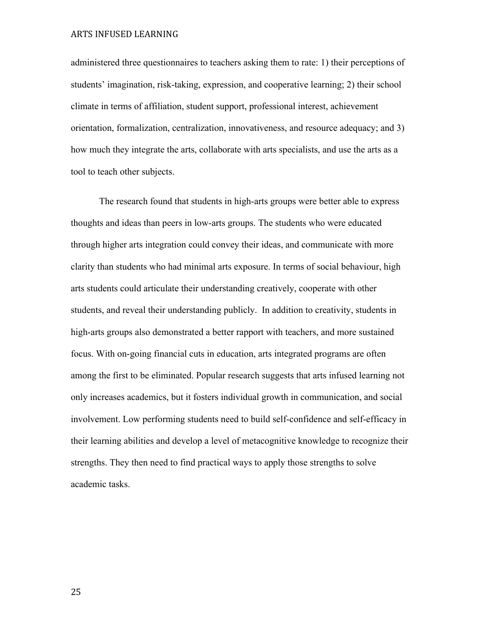administered three questionnaires to teachers asking them to rate: 1) their perceptions of students' imagination, risk-taking, expression, and cooperative learning; 2) their school climate in terms of affiliation, student support, professional interest, achievement orientation, formalization, centralization, innovativeness, and resource adequacy; and 3) how much they integrate the arts, collaborate with arts specialists, and use the arts as a tool to teach other subjects.

The research found that students in high-arts groups were better able to express thoughts and ideas than peers in low-arts groups. The students who were educated through higher arts integration could convey their ideas, and communicate with more clarity than students who had minimal arts exposure. In terms of social behaviour, high arts students could articulate their understanding creatively, cooperate with other students, and reveal their understanding publicly. In addition to creativity, students in high-arts groups also demonstrated a better rapport with teachers, and more sustained focus. With on-going financial cuts in education, arts integrated programs are often among the first to be eliminated. Popular research suggests that arts infused learning not only increases academics, but it fosters individual growth in communication, and social involvement. Low performing students need to build self-confidence and self-efficacy in their learning abilities and develop a level of metacognitive knowledge to recognize their strengths. They then need to find practical ways to apply those strengths to solve academic tasks.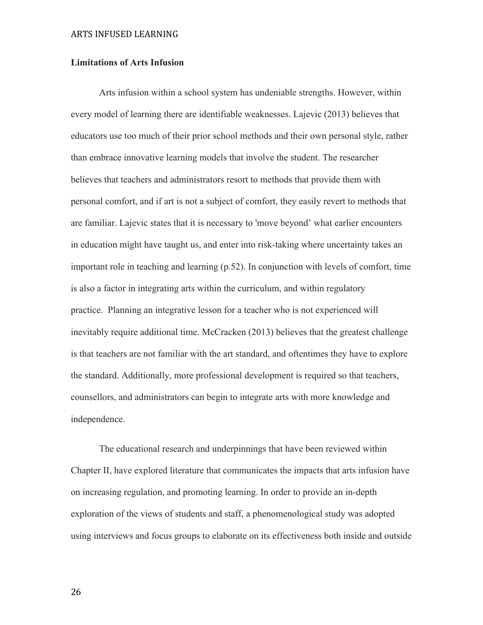### **Limitations of Arts Infusion**

Arts infusion within a school system has undeniable strengths. However, within every model of learning there are identifiable weaknesses. Lajevic (2013) believes that educators use too much of their prior school methods and their own personal style, rather than embrace innovative learning models that involve the student. The researcher believes that teachers and administrators resort to methods that provide them with personal comfort, and if art is not a subject of comfort, they easily revert to methods that are familiar. Lajevic states that it is necessary to 'move beyond' what earlier encounters in education might have taught us, and enter into risk-taking where uncertainty takes an important role in teaching and learning (p.52). In conjunction with levels of comfort, time is also a factor in integrating arts within the curriculum, and within regulatory practice. Planning an integrative lesson for a teacher who is not experienced will inevitably require additional time. McCracken (2013) believes that the greatest challenge is that teachers are not familiar with the art standard, and oftentimes they have to explore the standard. Additionally, more professional development is required so that teachers, counsellors, and administrators can begin to integrate arts with more knowledge and independence.

The educational research and underpinnings that have been reviewed within Chapter II, have explored literature that communicates the impacts that arts infusion have on increasing regulation, and promoting learning. In order to provide an in-depth exploration of the views of students and staff, a phenomenological study was adopted using interviews and focus groups to elaborate on its effectiveness both inside and outside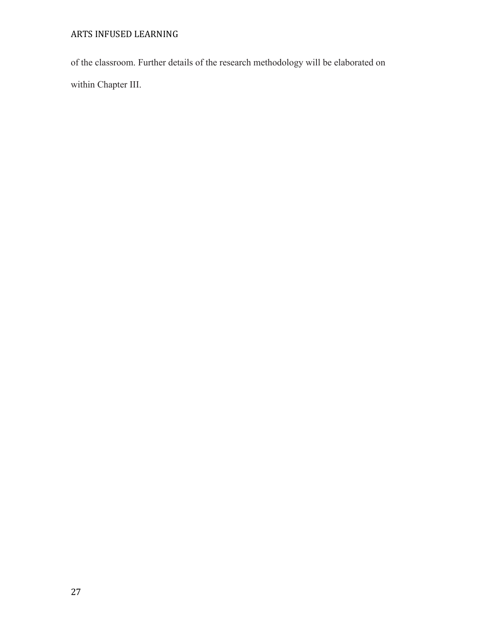of the classroom. Further details of the research methodology will be elaborated on within Chapter III.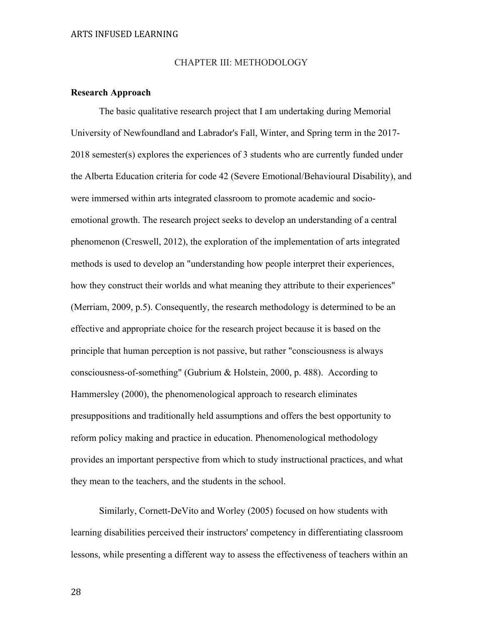#### CHAPTER III: METHODOLOGY

### **Research Approach**

The basic qualitative research project that I am undertaking during Memorial University of Newfoundland and Labrador's Fall, Winter, and Spring term in the 2017- 2018 semester(s) explores the experiences of 3 students who are currently funded under the Alberta Education criteria for code 42 (Severe Emotional/Behavioural Disability), and were immersed within arts integrated classroom to promote academic and socioemotional growth. The research project seeks to develop an understanding of a central phenomenon (Creswell, 2012), the exploration of the implementation of arts integrated methods is used to develop an "understanding how people interpret their experiences, how they construct their worlds and what meaning they attribute to their experiences" (Merriam, 2009, p.5). Consequently, the research methodology is determined to be an effective and appropriate choice for the research project because it is based on the principle that human perception is not passive, but rather "consciousness is always consciousness-of-something" (Gubrium & Holstein, 2000, p. 488). According to Hammersley (2000), the phenomenological approach to research eliminates presuppositions and traditionally held assumptions and offers the best opportunity to reform policy making and practice in education. Phenomenological methodology provides an important perspective from which to study instructional practices, and what they mean to the teachers, and the students in the school.

Similarly, Cornett-DeVito and Worley (2005) focused on how students with learning disabilities perceived their instructors' competency in differentiating classroom lessons, while presenting a different way to assess the effectiveness of teachers within an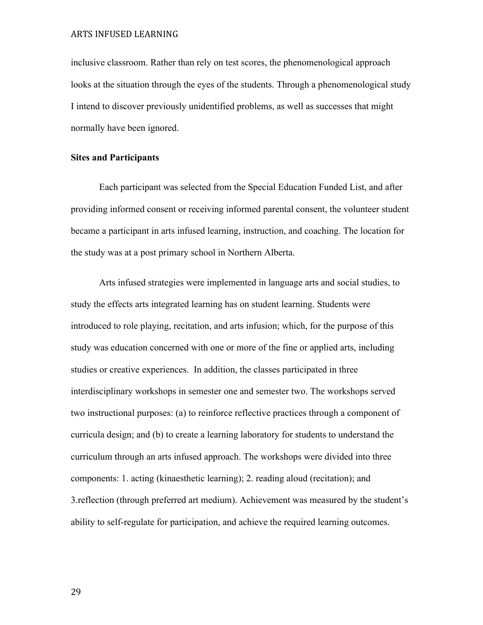inclusive classroom. Rather than rely on test scores, the phenomenological approach looks at the situation through the eyes of the students. Through a phenomenological study I intend to discover previously unidentified problems, as well as successes that might normally have been ignored.

# **Sites and Participants**

Each participant was selected from the Special Education Funded List, and after providing informed consent or receiving informed parental consent, the volunteer student became a participant in arts infused learning, instruction, and coaching. The location for the study was at a post primary school in Northern Alberta.

Arts infused strategies were implemented in language arts and social studies, to study the effects arts integrated learning has on student learning. Students were introduced to role playing, recitation, and arts infusion; which, for the purpose of this study was education concerned with one or more of the fine or applied arts, including studies or creative experiences. In addition, the classes participated in three interdisciplinary workshops in semester one and semester two. The workshops served two instructional purposes: (a) to reinforce reflective practices through a component of curricula design; and (b) to create a learning laboratory for students to understand the curriculum through an arts infused approach. The workshops were divided into three components: 1. acting (kinaesthetic learning); 2. reading aloud (recitation); and 3.reflection (through preferred art medium). Achievement was measured by the student's ability to self-regulate for participation, and achieve the required learning outcomes.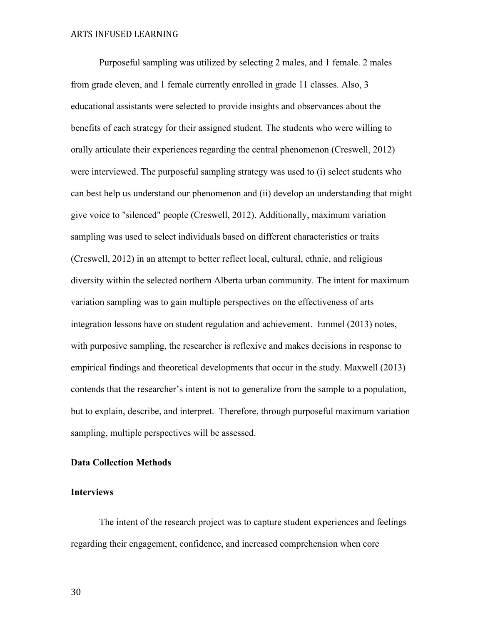Purposeful sampling was utilized by selecting 2 males, and 1 female. 2 males from grade eleven, and 1 female currently enrolled in grade 11 classes. Also, 3 educational assistants were selected to provide insights and observances about the benefits of each strategy for their assigned student. The students who were willing to orally articulate their experiences regarding the central phenomenon (Creswell, 2012) were interviewed. The purposeful sampling strategy was used to (i) select students who can best help us understand our phenomenon and (ii) develop an understanding that might give voice to "silenced" people (Creswell, 2012). Additionally, maximum variation sampling was used to select individuals based on different characteristics or traits (Creswell, 2012) in an attempt to better reflect local, cultural, ethnic, and religious diversity within the selected northern Alberta urban community. The intent for maximum variation sampling was to gain multiple perspectives on the effectiveness of arts integration lessons have on student regulation and achievement. Emmel (2013) notes, with purposive sampling, the researcher is reflexive and makes decisions in response to empirical findings and theoretical developments that occur in the study. Maxwell (2013) contends that the researcher's intent is not to generalize from the sample to a population, but to explain, describe, and interpret. Therefore, through purposeful maximum variation sampling, multiple perspectives will be assessed.

# **Data Collection Methods**

#### **Interviews**

The intent of the research project was to capture student experiences and feelings regarding their engagement, confidence, and increased comprehension when core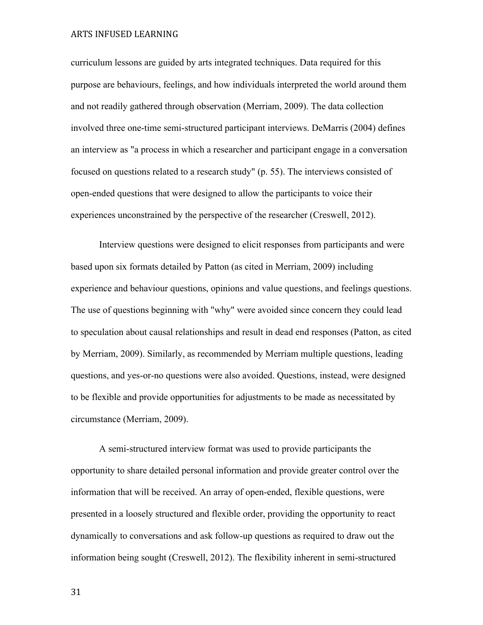curriculum lessons are guided by arts integrated techniques. Data required for this purpose are behaviours, feelings, and how individuals interpreted the world around them and not readily gathered through observation (Merriam, 2009). The data collection involved three one-time semi-structured participant interviews. DeMarris (2004) defines an interview as "a process in which a researcher and participant engage in a conversation focused on questions related to a research study" (p. 55). The interviews consisted of open-ended questions that were designed to allow the participants to voice their experiences unconstrained by the perspective of the researcher (Creswell, 2012).

Interview questions were designed to elicit responses from participants and were based upon six formats detailed by Patton (as cited in Merriam, 2009) including experience and behaviour questions, opinions and value questions, and feelings questions. The use of questions beginning with "why" were avoided since concern they could lead to speculation about causal relationships and result in dead end responses (Patton, as cited by Merriam, 2009). Similarly, as recommended by Merriam multiple questions, leading questions, and yes-or-no questions were also avoided. Questions, instead, were designed to be flexible and provide opportunities for adjustments to be made as necessitated by circumstance (Merriam, 2009).

A semi-structured interview format was used to provide participants the opportunity to share detailed personal information and provide greater control over the information that will be received. An array of open-ended, flexible questions, were presented in a loosely structured and flexible order, providing the opportunity to react dynamically to conversations and ask follow-up questions as required to draw out the information being sought (Creswell, 2012). The flexibility inherent in semi-structured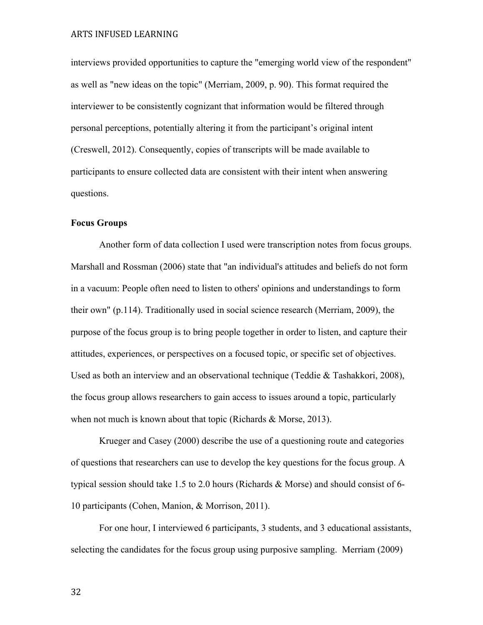interviews provided opportunities to capture the "emerging world view of the respondent" as well as "new ideas on the topic" (Merriam, 2009, p. 90). This format required the interviewer to be consistently cognizant that information would be filtered through personal perceptions, potentially altering it from the participant's original intent (Creswell, 2012). Consequently, copies of transcripts will be made available to participants to ensure collected data are consistent with their intent when answering questions.

### **Focus Groups**

Another form of data collection I used were transcription notes from focus groups. Marshall and Rossman (2006) state that "an individual's attitudes and beliefs do not form in a vacuum: People often need to listen to others' opinions and understandings to form their own" (p.114). Traditionally used in social science research (Merriam, 2009), the purpose of the focus group is to bring people together in order to listen, and capture their attitudes, experiences, or perspectives on a focused topic, or specific set of objectives. Used as both an interview and an observational technique (Teddie & Tashakkori, 2008), the focus group allows researchers to gain access to issues around a topic, particularly when not much is known about that topic (Richards  $&$  Morse, 2013).

Krueger and Casey (2000) describe the use of a questioning route and categories of questions that researchers can use to develop the key questions for the focus group. A typical session should take 1.5 to 2.0 hours (Richards & Morse) and should consist of 6- 10 participants (Cohen, Manion, & Morrison, 2011).

For one hour, I interviewed 6 participants, 3 students, and 3 educational assistants, selecting the candidates for the focus group using purposive sampling. Merriam (2009)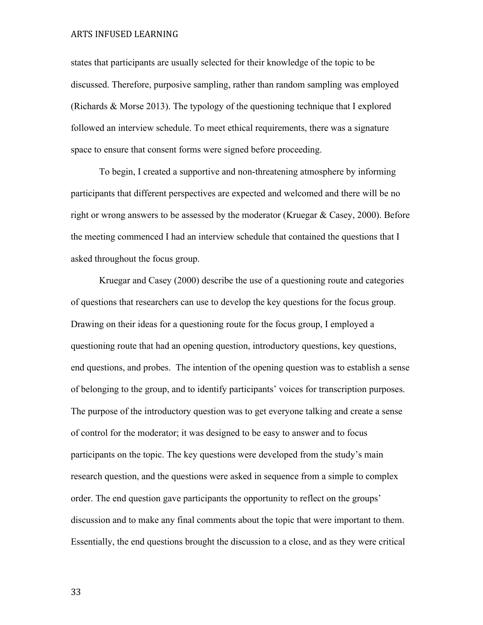states that participants are usually selected for their knowledge of the topic to be discussed. Therefore, purposive sampling, rather than random sampling was employed (Richards & Morse 2013). The typology of the questioning technique that I explored followed an interview schedule. To meet ethical requirements, there was a signature space to ensure that consent forms were signed before proceeding.

To begin, I created a supportive and non-threatening atmosphere by informing participants that different perspectives are expected and welcomed and there will be no right or wrong answers to be assessed by the moderator (Kruegar & Casey, 2000). Before the meeting commenced I had an interview schedule that contained the questions that I asked throughout the focus group.

Kruegar and Casey (2000) describe the use of a questioning route and categories of questions that researchers can use to develop the key questions for the focus group. Drawing on their ideas for a questioning route for the focus group, I employed a questioning route that had an opening question, introductory questions, key questions, end questions, and probes. The intention of the opening question was to establish a sense of belonging to the group, and to identify participants' voices for transcription purposes. The purpose of the introductory question was to get everyone talking and create a sense of control for the moderator; it was designed to be easy to answer and to focus participants on the topic. The key questions were developed from the study's main research question, and the questions were asked in sequence from a simple to complex order. The end question gave participants the opportunity to reflect on the groups' discussion and to make any final comments about the topic that were important to them. Essentially, the end questions brought the discussion to a close, and as they were critical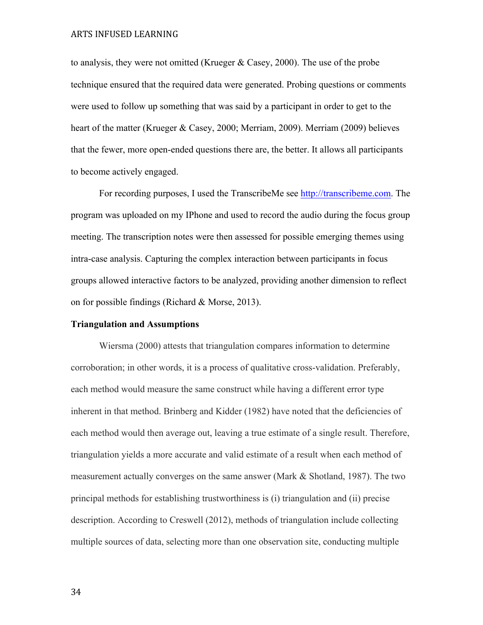to analysis, they were not omitted (Krueger  $\&$  Casey, 2000). The use of the probe technique ensured that the required data were generated. Probing questions or comments were used to follow up something that was said by a participant in order to get to the heart of the matter (Krueger & Casey, 2000; Merriam, 2009). Merriam (2009) believes that the fewer, more open-ended questions there are, the better. It allows all participants to become actively engaged.

For recording purposes, I used the TranscribeMe see http://transcribeme.com. The program was uploaded on my IPhone and used to record the audio during the focus group meeting. The transcription notes were then assessed for possible emerging themes using intra-case analysis. Capturing the complex interaction between participants in focus groups allowed interactive factors to be analyzed, providing another dimension to reflect on for possible findings (Richard & Morse, 2013).

#### **Triangulation and Assumptions**

Wiersma (2000) attests that triangulation compares information to determine corroboration; in other words, it is a process of qualitative cross-validation. Preferably, each method would measure the same construct while having a different error type inherent in that method. Brinberg and Kidder (1982) have noted that the deficiencies of each method would then average out, leaving a true estimate of a single result. Therefore, triangulation yields a more accurate and valid estimate of a result when each method of measurement actually converges on the same answer (Mark & Shotland, 1987). The two principal methods for establishing trustworthiness is (i) triangulation and (ii) precise description. According to Creswell (2012), methods of triangulation include collecting multiple sources of data, selecting more than one observation site, conducting multiple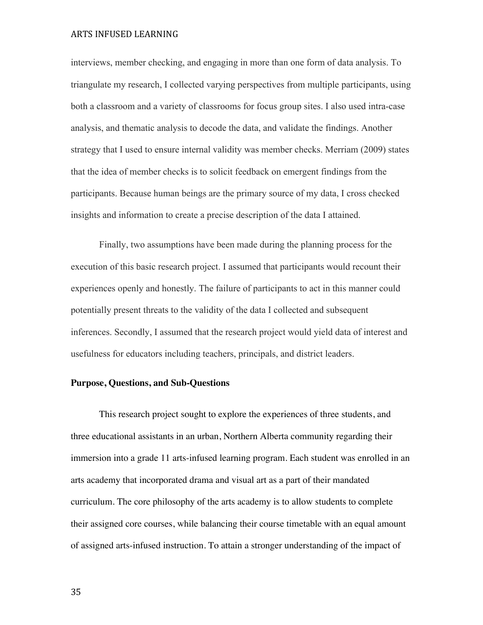interviews, member checking, and engaging in more than one form of data analysis. To triangulate my research, I collected varying perspectives from multiple participants, using both a classroom and a variety of classrooms for focus group sites. I also used intra-case analysis, and thematic analysis to decode the data, and validate the findings. Another strategy that I used to ensure internal validity was member checks. Merriam (2009) states that the idea of member checks is to solicit feedback on emergent findings from the participants. Because human beings are the primary source of my data, I cross checked insights and information to create a precise description of the data I attained.

Finally, two assumptions have been made during the planning process for the execution of this basic research project. I assumed that participants would recount their experiences openly and honestly. The failure of participants to act in this manner could potentially present threats to the validity of the data I collected and subsequent inferences. Secondly, I assumed that the research project would yield data of interest and usefulness for educators including teachers, principals, and district leaders.

### **Purpose, Questions, and Sub-Questions**

This research project sought to explore the experiences of three students, and three educational assistants in an urban, Northern Alberta community regarding their immersion into a grade 11 arts-infused learning program. Each student was enrolled in an arts academy that incorporated drama and visual art as a part of their mandated curriculum. The core philosophy of the arts academy is to allow students to complete their assigned core courses, while balancing their course timetable with an equal amount of assigned arts-infused instruction. To attain a stronger understanding of the impact of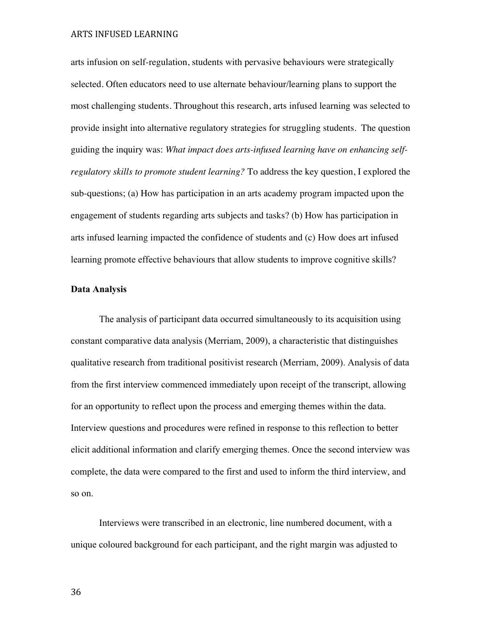arts infusion on self-regulation, students with pervasive behaviours were strategically selected. Often educators need to use alternate behaviour/learning plans to support the most challenging students. Throughout this research, arts infused learning was selected to provide insight into alternative regulatory strategies for struggling students. The question guiding the inquiry was: *What impact does arts-infused learning have on enhancing selfregulatory skills to promote student learning?* To address the key question, I explored the sub-questions; (a) How has participation in an arts academy program impacted upon the engagement of students regarding arts subjects and tasks? (b) How has participation in arts infused learning impacted the confidence of students and (c) How does art infused learning promote effective behaviours that allow students to improve cognitive skills?

#### **Data Analysis**

The analysis of participant data occurred simultaneously to its acquisition using constant comparative data analysis (Merriam, 2009), a characteristic that distinguishes qualitative research from traditional positivist research (Merriam, 2009). Analysis of data from the first interview commenced immediately upon receipt of the transcript, allowing for an opportunity to reflect upon the process and emerging themes within the data. Interview questions and procedures were refined in response to this reflection to better elicit additional information and clarify emerging themes. Once the second interview was complete, the data were compared to the first and used to inform the third interview, and so on.

Interviews were transcribed in an electronic, line numbered document, with a unique coloured background for each participant, and the right margin was adjusted to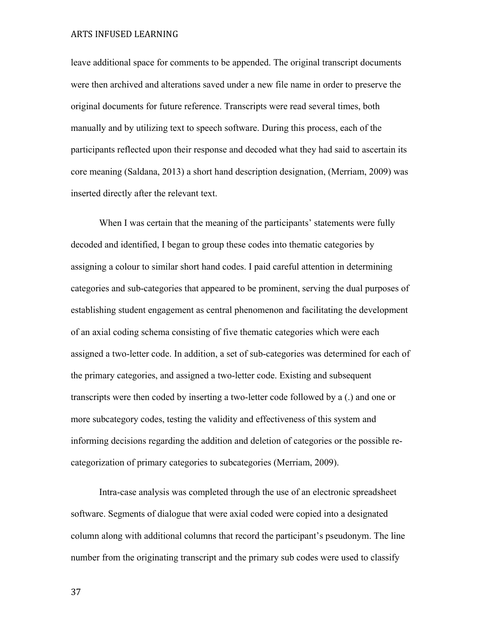leave additional space for comments to be appended. The original transcript documents were then archived and alterations saved under a new file name in order to preserve the original documents for future reference. Transcripts were read several times, both manually and by utilizing text to speech software. During this process, each of the participants reflected upon their response and decoded what they had said to ascertain its core meaning (Saldana, 2013) a short hand description designation, (Merriam, 2009) was inserted directly after the relevant text.

When I was certain that the meaning of the participants' statements were fully decoded and identified, I began to group these codes into thematic categories by assigning a colour to similar short hand codes. I paid careful attention in determining categories and sub-categories that appeared to be prominent, serving the dual purposes of establishing student engagement as central phenomenon and facilitating the development of an axial coding schema consisting of five thematic categories which were each assigned a two-letter code. In addition, a set of sub-categories was determined for each of the primary categories, and assigned a two-letter code. Existing and subsequent transcripts were then coded by inserting a two-letter code followed by a (.) and one or more subcategory codes, testing the validity and effectiveness of this system and informing decisions regarding the addition and deletion of categories or the possible recategorization of primary categories to subcategories (Merriam, 2009).

Intra-case analysis was completed through the use of an electronic spreadsheet software. Segments of dialogue that were axial coded were copied into a designated column along with additional columns that record the participant's pseudonym. The line number from the originating transcript and the primary sub codes were used to classify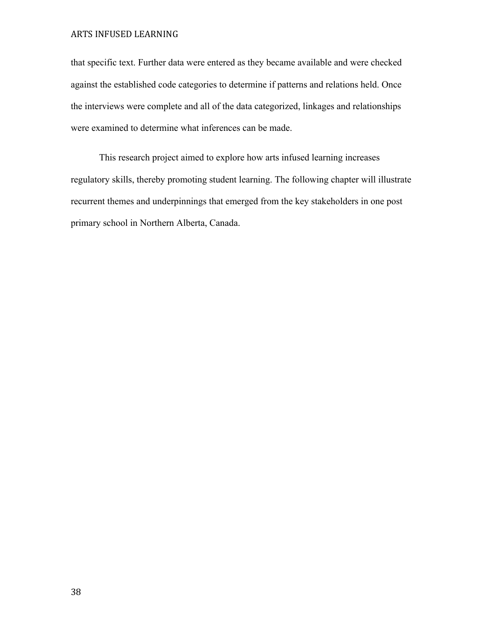that specific text. Further data were entered as they became available and were checked against the established code categories to determine if patterns and relations held. Once the interviews were complete and all of the data categorized, linkages and relationships were examined to determine what inferences can be made.

This research project aimed to explore how arts infused learning increases regulatory skills, thereby promoting student learning. The following chapter will illustrate recurrent themes and underpinnings that emerged from the key stakeholders in one post primary school in Northern Alberta, Canada.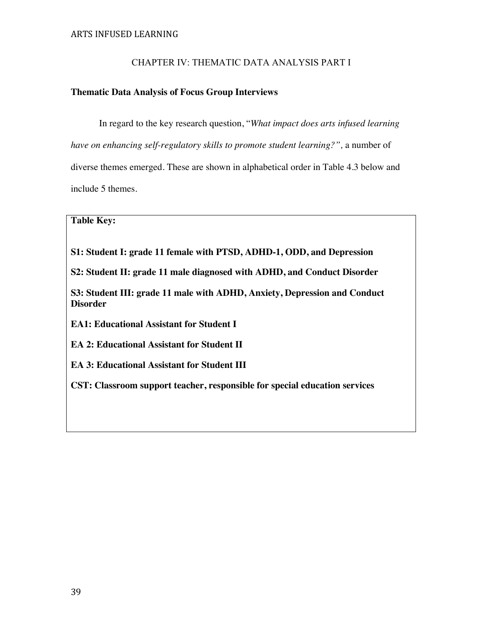# CHAPTER IV: THEMATIC DATA ANALYSIS PART I

### **Thematic Data Analysis of Focus Group Interviews**

In regard to the key research question, "*What impact does arts infused learning have on enhancing self-regulatory skills to promote student learning?", a number of* diverse themes emerged. These are shown in alphabetical order in Table 4.3 below and include 5 themes.

**Table Key:**

**S1: Student I: grade 11 female with PTSD, ADHD-1, ODD, and Depression**

**S2: Student II: grade 11 male diagnosed with ADHD, and Conduct Disorder**

**S3: Student III: grade 11 male with ADHD, Anxiety, Depression and Conduct Disorder**

**EA1: Educational Assistant for Student I**

**EA 2: Educational Assistant for Student II**

**EA 3: Educational Assistant for Student III**

**CST: Classroom support teacher, responsible for special education services**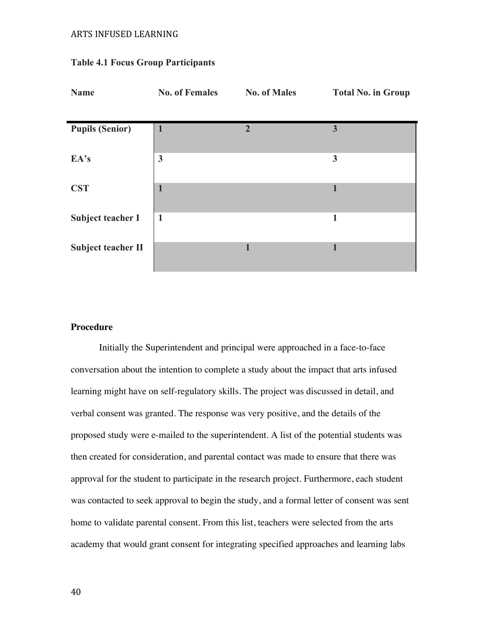| <b>Name</b>              | <b>No. of Females</b> | <b>No. of Males</b> | <b>Total No. in Group</b> |
|--------------------------|-----------------------|---------------------|---------------------------|
|                          |                       |                     |                           |
| <b>Pupils (Senior)</b>   | $\mathbf{1}$          | $\overline{2}$      | $\overline{\mathbf{3}}$   |
|                          |                       |                     |                           |
| EA's                     | $\mathbf{3}$          |                     | 3                         |
|                          |                       |                     |                           |
| <b>CST</b>               | 1                     |                     |                           |
|                          |                       |                     |                           |
| <b>Subject teacher I</b> | $\mathbf{1}$          |                     | 1                         |
|                          |                       |                     |                           |
| Subject teacher II       |                       |                     |                           |
|                          |                       |                     |                           |

#### **Table 4.1 Focus Group Participants**

### **Procedure**

Initially the Superintendent and principal were approached in a face-to-face conversation about the intention to complete a study about the impact that arts infused learning might have on self-regulatory skills. The project was discussed in detail, and verbal consent was granted. The response was very positive, and the details of the proposed study were e-mailed to the superintendent. A list of the potential students was then created for consideration, and parental contact was made to ensure that there was approval for the student to participate in the research project. Furthermore, each student was contacted to seek approval to begin the study, and a formal letter of consent was sent home to validate parental consent. From this list, teachers were selected from the arts academy that would grant consent for integrating specified approaches and learning labs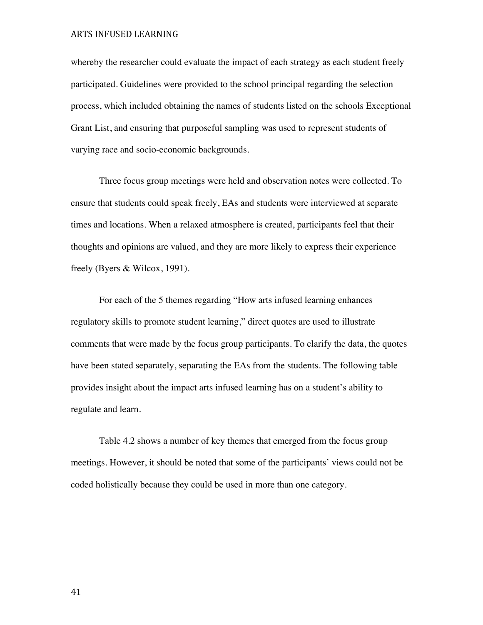whereby the researcher could evaluate the impact of each strategy as each student freely participated. Guidelines were provided to the school principal regarding the selection process, which included obtaining the names of students listed on the schools Exceptional Grant List, and ensuring that purposeful sampling was used to represent students of varying race and socio-economic backgrounds.

Three focus group meetings were held and observation notes were collected. To ensure that students could speak freely, EAs and students were interviewed at separate times and locations. When a relaxed atmosphere is created, participants feel that their thoughts and opinions are valued, and they are more likely to express their experience freely (Byers & Wilcox, 1991).

For each of the 5 themes regarding "How arts infused learning enhances regulatory skills to promote student learning," direct quotes are used to illustrate comments that were made by the focus group participants. To clarify the data, the quotes have been stated separately, separating the EAs from the students. The following table provides insight about the impact arts infused learning has on a student's ability to regulate and learn.

Table 4.2 shows a number of key themes that emerged from the focus group meetings. However, it should be noted that some of the participants' views could not be coded holistically because they could be used in more than one category.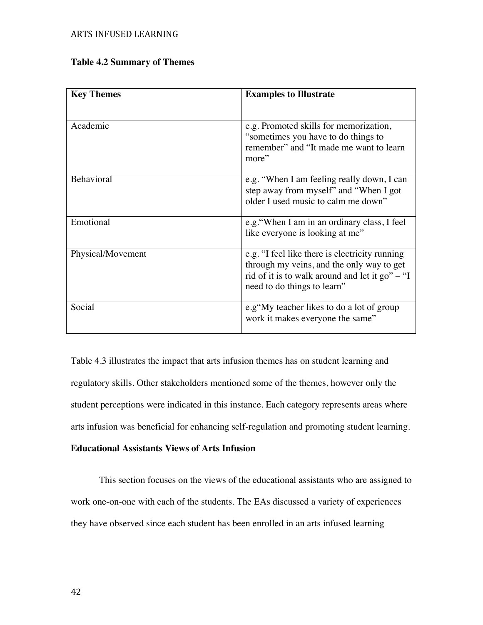|  |  | <b>Table 4.2 Summary of Themes</b> |  |  |
|--|--|------------------------------------|--|--|
|--|--|------------------------------------|--|--|

| <b>Key Themes</b> | <b>Examples to Illustrate</b>                                                                                                                                                    |
|-------------------|----------------------------------------------------------------------------------------------------------------------------------------------------------------------------------|
|                   |                                                                                                                                                                                  |
| Academic          | e.g. Promoted skills for memorization,<br>"sometimes you have to do things to<br>remember" and "It made me want to learn<br>more"                                                |
| Behavioral        | e.g. "When I am feeling really down, I can<br>step away from myself" and "When I got<br>older I used music to calm me down"                                                      |
| Emotional         | e.g. "When I am in an ordinary class, I feel<br>like everyone is looking at me"                                                                                                  |
| Physical/Movement | e.g. "I feel like there is electricity running<br>through my veins, and the only way to get<br>rid of it is to walk around and let it $go'' - "I$<br>need to do things to learn" |
| Social            | e.g"My teacher likes to do a lot of group<br>work it makes everyone the same"                                                                                                    |

Table 4.3 illustrates the impact that arts infusion themes has on student learning and regulatory skills. Other stakeholders mentioned some of the themes, however only the student perceptions were indicated in this instance. Each category represents areas where arts infusion was beneficial for enhancing self-regulation and promoting student learning.

## **Educational Assistants Views of Arts Infusion**

This section focuses on the views of the educational assistants who are assigned to work one-on-one with each of the students. The EAs discussed a variety of experiences they have observed since each student has been enrolled in an arts infused learning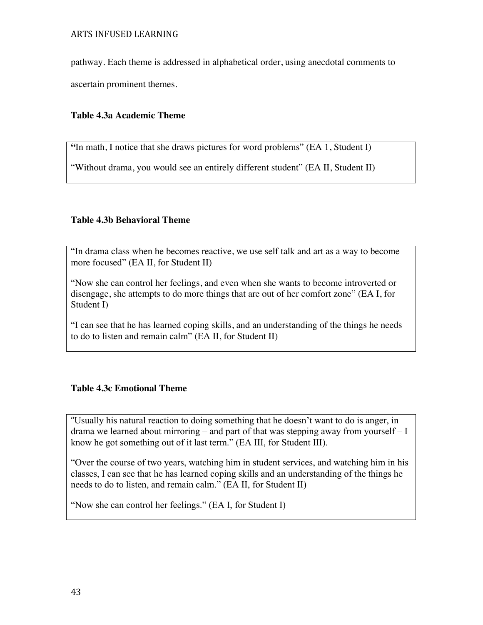pathway. Each theme is addressed in alphabetical order, using anecdotal comments to ascertain prominent themes.

# **Table 4.3a Academic Theme**

**"**In math, I notice that she draws pictures for word problems" (EA 1, Student I)

"Without drama, you would see an entirely different student" (EA II, Student II)

# **Table 4.3b Behavioral Theme**

"In drama class when he becomes reactive, we use self talk and art as a way to become more focused" (EA II, for Student II)

"Now she can control her feelings, and even when she wants to become introverted or disengage, she attempts to do more things that are out of her comfort zone" (EA I, for Student I)

"I can see that he has learned coping skills, and an understanding of the things he needs to do to listen and remain calm" (EA II, for Student II)

# **Table 4.3c Emotional Theme**

"Usually his natural reaction to doing something that he doesn't want to do is anger, in drama we learned about mirroring – and part of that was stepping away from yourself – I know he got something out of it last term." (EA III, for Student III).

"Over the course of two years, watching him in student services, and watching him in his classes, I can see that he has learned coping skills and an understanding of the things he needs to do to listen, and remain calm." (EA II, for Student II)

"Now she can control her feelings." (EA I, for Student I)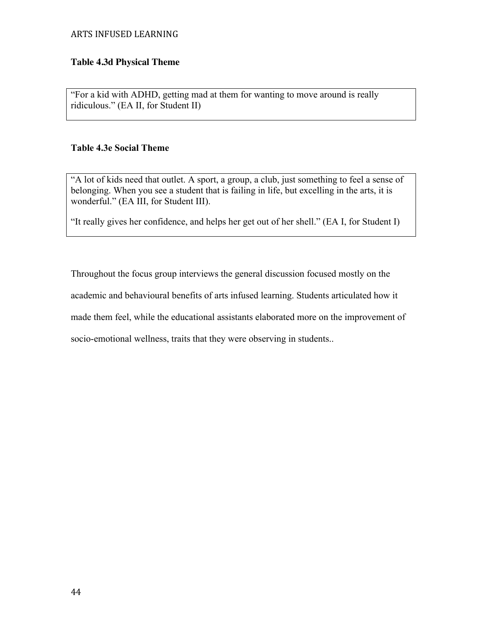# **Table 4.3d Physical Theme**

"For a kid with ADHD, getting mad at them for wanting to move around is really ridiculous." (EA II, for Student II)

### **Table 4.3e Social Theme**

"A lot of kids need that outlet. A sport, a group, a club, just something to feel a sense of belonging. When you see a student that is failing in life, but excelling in the arts, it is wonderful." (EA III, for Student III).

"It really gives her confidence, and helps her get out of her shell." (EA I, for Student I)

Throughout the focus group interviews the general discussion focused mostly on the academic and behavioural benefits of arts infused learning. Students articulated how it made them feel, while the educational assistants elaborated more on the improvement of socio-emotional wellness, traits that they were observing in students..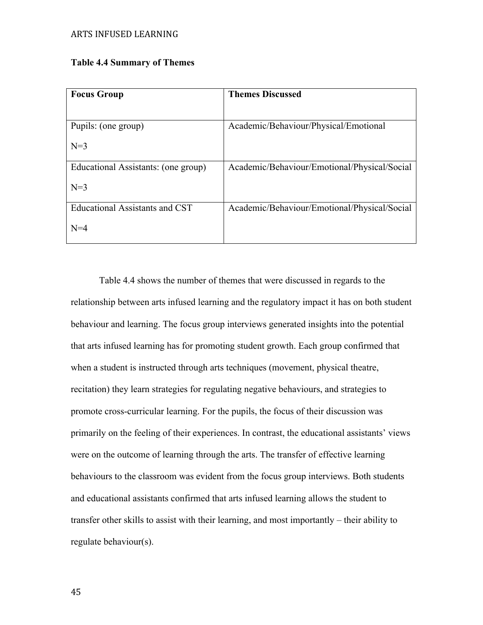|  |  | <b>Table 4.4 Summary of Themes</b> |
|--|--|------------------------------------|
|--|--|------------------------------------|

| <b>Focus Group</b>                    | <b>Themes Discussed</b>                      |
|---------------------------------------|----------------------------------------------|
|                                       |                                              |
| Pupils: (one group)                   | Academic/Behaviour/Physical/Emotional        |
| $N=3$                                 |                                              |
| Educational Assistants: (one group)   | Academic/Behaviour/Emotional/Physical/Social |
| $N=3$                                 |                                              |
| <b>Educational Assistants and CST</b> | Academic/Behaviour/Emotional/Physical/Social |
| $N=4$                                 |                                              |

Table 4.4 shows the number of themes that were discussed in regards to the relationship between arts infused learning and the regulatory impact it has on both student behaviour and learning. The focus group interviews generated insights into the potential that arts infused learning has for promoting student growth. Each group confirmed that when a student is instructed through arts techniques (movement, physical theatre, recitation) they learn strategies for regulating negative behaviours, and strategies to promote cross-curricular learning. For the pupils, the focus of their discussion was primarily on the feeling of their experiences. In contrast, the educational assistants' views were on the outcome of learning through the arts. The transfer of effective learning behaviours to the classroom was evident from the focus group interviews. Both students and educational assistants confirmed that arts infused learning allows the student to transfer other skills to assist with their learning, and most importantly – their ability to regulate behaviour(s).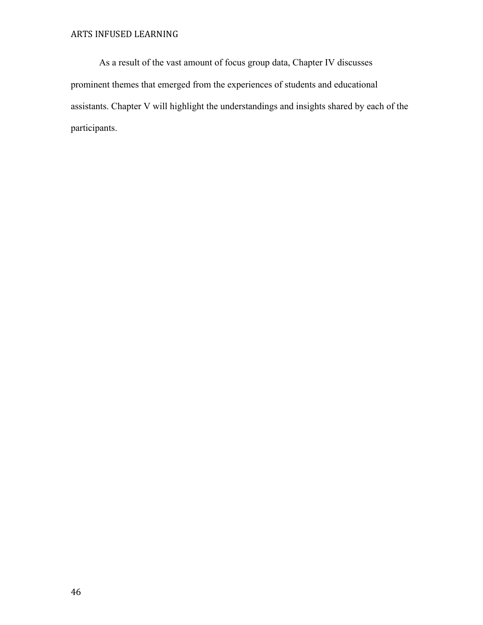As a result of the vast amount of focus group data, Chapter IV discusses prominent themes that emerged from the experiences of students and educational assistants. Chapter V will highlight the understandings and insights shared by each of the participants.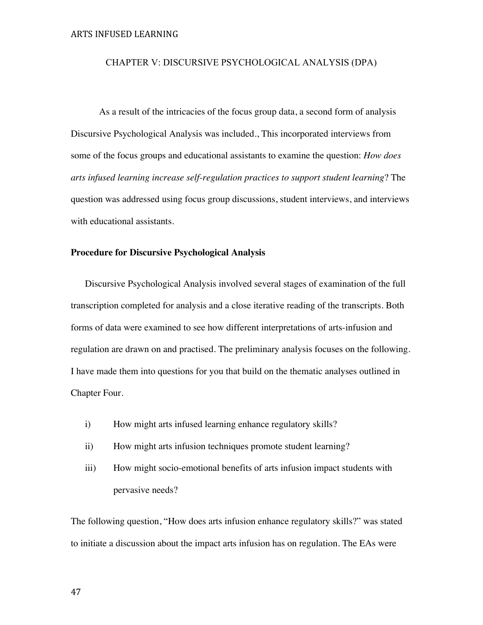#### CHAPTER V: DISCURSIVE PSYCHOLOGICAL ANALYSIS (DPA)

As a result of the intricacies of the focus group data, a second form of analysis Discursive Psychological Analysis was included., This incorporated interviews from some of the focus groups and educational assistants to examine the question: *How does arts infused learning increase self-regulation practices to support student learning*? The question was addressed using focus group discussions, student interviews, and interviews with educational assistants.

### **Procedure for Discursive Psychological Analysis**

Discursive Psychological Analysis involved several stages of examination of the full transcription completed for analysis and a close iterative reading of the transcripts. Both forms of data were examined to see how different interpretations of arts-infusion and regulation are drawn on and practised. The preliminary analysis focuses on the following. I have made them into questions for you that build on the thematic analyses outlined in Chapter Four.

- i) How might arts infused learning enhance regulatory skills?
- ii) How might arts infusion techniques promote student learning?
- iii) How might socio-emotional benefits of arts infusion impact students with pervasive needs?

The following question, "How does arts infusion enhance regulatory skills?" was stated to initiate a discussion about the impact arts infusion has on regulation. The EAs were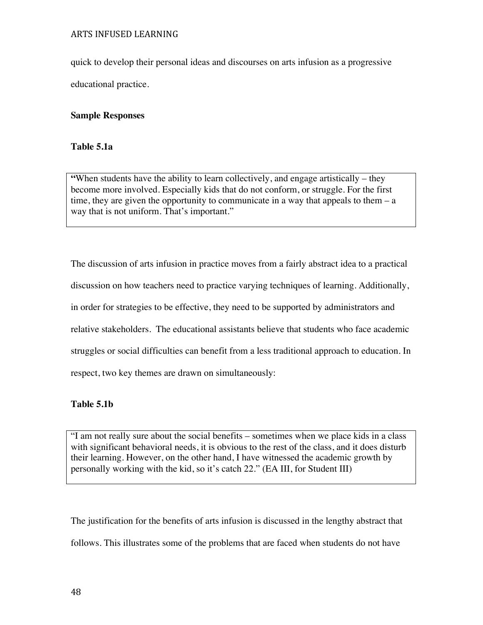quick to develop their personal ideas and discourses on arts infusion as a progressive educational practice.

### **Sample Responses**

### **Table 5.1a**

**"**When students have the ability to learn collectively, and engage artistically – they become more involved. Especially kids that do not conform, or struggle. For the first time, they are given the opportunity to communicate in a way that appeals to them – a way that is not uniform. That's important."

The discussion of arts infusion in practice moves from a fairly abstract idea to a practical discussion on how teachers need to practice varying techniques of learning. Additionally, in order for strategies to be effective, they need to be supported by administrators and relative stakeholders. The educational assistants believe that students who face academic struggles or social difficulties can benefit from a less traditional approach to education. In respect, two key themes are drawn on simultaneously:

### **Table 5.1b**

"I am not really sure about the social benefits – sometimes when we place kids in a class with significant behavioral needs, it is obvious to the rest of the class, and it does disturb their learning. However, on the other hand, I have witnessed the academic growth by personally working with the kid, so it's catch 22." (EA III, for Student III)

The justification for the benefits of arts infusion is discussed in the lengthy abstract that follows. This illustrates some of the problems that are faced when students do not have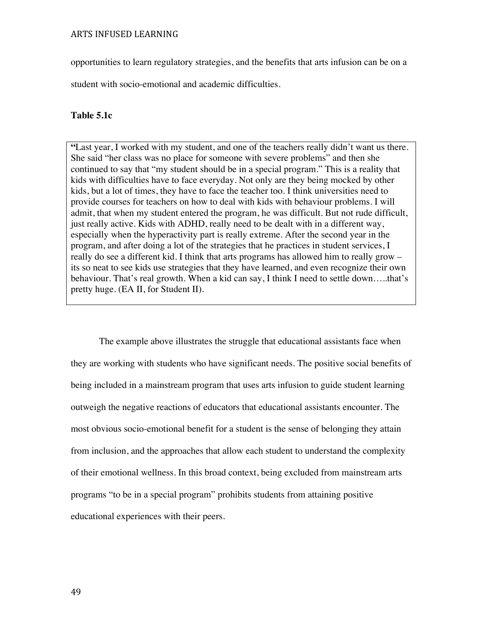opportunities to learn regulatory strategies, and the benefits that arts infusion can be on a

student with socio-emotional and academic difficulties.

#### **Table 5.1c**

**"**Last year, I worked with my student, and one of the teachers really didn't want us there. She said "her class was no place for someone with severe problems" and then she continued to say that "my student should be in a special program." This is a reality that kids with difficulties have to face everyday. Not only are they being mocked by other kids, but a lot of times, they have to face the teacher too. I think universities need to provide courses for teachers on how to deal with kids with behaviour problems. I will admit, that when my student entered the program, he was difficult. But not rude difficult, just really active. Kids with ADHD, really need to be dealt with in a different way, especially when the hyperactivity part is really extreme. After the second year in the program, and after doing a lot of the strategies that he practices in student services, I really do see a different kid. I think that arts programs has allowed him to really grow – its so neat to see kids use strategies that they have learned, and even recognize their own behaviour. That's real growth. When a kid can say, I think I need to settle down…..that's pretty huge. (EA II, for Student II).

The example above illustrates the struggle that educational assistants face when they are working with students who have significant needs. The positive social benefits of being included in a mainstream program that uses arts infusion to guide student learning outweigh the negative reactions of educators that educational assistants encounter. The most obvious socio-emotional benefit for a student is the sense of belonging they attain from inclusion, and the approaches that allow each student to understand the complexity of their emotional wellness. In this broad context, being excluded from mainstream arts programs "to be in a special program" prohibits students from attaining positive educational experiences with their peers.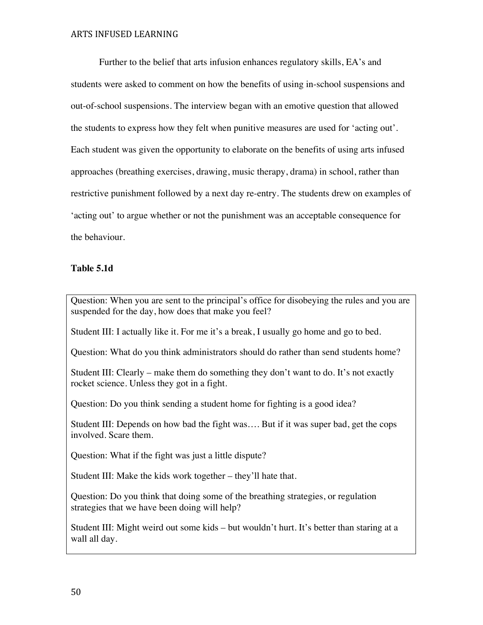Further to the belief that arts infusion enhances regulatory skills, EA's and students were asked to comment on how the benefits of using in-school suspensions and out-of-school suspensions. The interview began with an emotive question that allowed the students to express how they felt when punitive measures are used for 'acting out'. Each student was given the opportunity to elaborate on the benefits of using arts infused approaches (breathing exercises, drawing, music therapy, drama) in school, rather than restrictive punishment followed by a next day re-entry. The students drew on examples of 'acting out' to argue whether or not the punishment was an acceptable consequence for the behaviour.

### **Table 5.1d**

Question: When you are sent to the principal's office for disobeying the rules and you are suspended for the day, how does that make you feel?

Student III: I actually like it. For me it's a break, I usually go home and go to bed.

Question: What do you think administrators should do rather than send students home?

Student III: Clearly – make them do something they don't want to do. It's not exactly rocket science. Unless they got in a fight.

Question: Do you think sending a student home for fighting is a good idea?

Student III: Depends on how bad the fight was…. But if it was super bad, get the cops involved. Scare them.

Question: What if the fight was just a little dispute?

Student III: Make the kids work together – they'll hate that.

Question: Do you think that doing some of the breathing strategies, or regulation strategies that we have been doing will help?

Student III: Might weird out some kids – but wouldn't hurt. It's better than staring at a wall all day.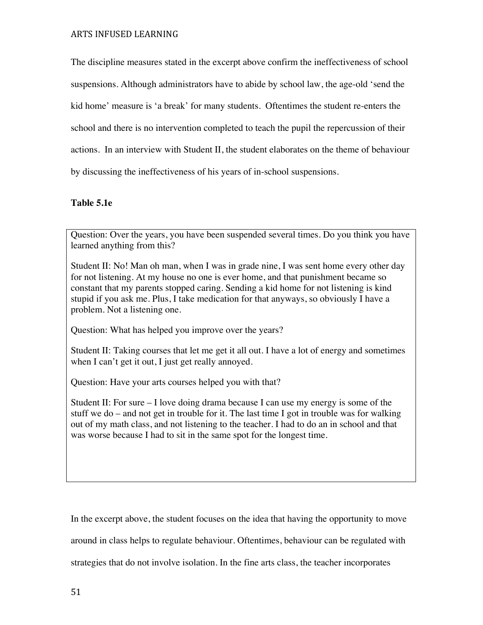The discipline measures stated in the excerpt above confirm the ineffectiveness of school suspensions. Although administrators have to abide by school law, the age-old 'send the kid home' measure is 'a break' for many students. Oftentimes the student re-enters the school and there is no intervention completed to teach the pupil the repercussion of their actions. In an interview with Student II, the student elaborates on the theme of behaviour by discussing the ineffectiveness of his years of in-school suspensions.

### **Table 5.1e**

Question: Over the years, you have been suspended several times. Do you think you have learned anything from this?

Student II: No! Man oh man, when I was in grade nine, I was sent home every other day for not listening. At my house no one is ever home, and that punishment became so constant that my parents stopped caring. Sending a kid home for not listening is kind stupid if you ask me. Plus, I take medication for that anyways, so obviously I have a problem. Not a listening one.

Question: What has helped you improve over the years?

Student II: Taking courses that let me get it all out. I have a lot of energy and sometimes when I can't get it out, I just get really annoyed.

Question: Have your arts courses helped you with that?

Student II: For sure – I love doing drama because I can use my energy is some of the stuff we do – and not get in trouble for it. The last time I got in trouble was for walking out of my math class, and not listening to the teacher. I had to do an in school and that was worse because I had to sit in the same spot for the longest time.

In the excerpt above, the student focuses on the idea that having the opportunity to move around in class helps to regulate behaviour. Oftentimes, behaviour can be regulated with strategies that do not involve isolation. In the fine arts class, the teacher incorporates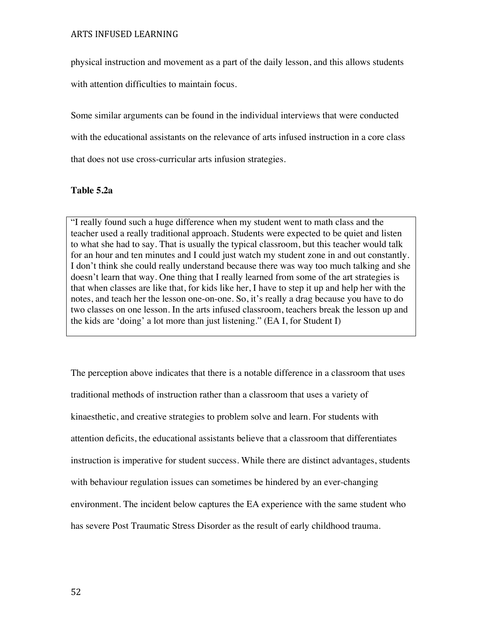physical instruction and movement as a part of the daily lesson, and this allows students

with attention difficulties to maintain focus.

Some similar arguments can be found in the individual interviews that were conducted with the educational assistants on the relevance of arts infused instruction in a core class that does not use cross-curricular arts infusion strategies.

### **Table 5.2a**

"I really found such a huge difference when my student went to math class and the teacher used a really traditional approach. Students were expected to be quiet and listen to what she had to say. That is usually the typical classroom, but this teacher would talk for an hour and ten minutes and I could just watch my student zone in and out constantly. I don't think she could really understand because there was way too much talking and she doesn't learn that way. One thing that I really learned from some of the art strategies is that when classes are like that, for kids like her, I have to step it up and help her with the notes, and teach her the lesson one-on-one. So, it's really a drag because you have to do two classes on one lesson. In the arts infused classroom, teachers break the lesson up and the kids are 'doing' a lot more than just listening." (EA I, for Student I)

The perception above indicates that there is a notable difference in a classroom that uses traditional methods of instruction rather than a classroom that uses a variety of kinaesthetic, and creative strategies to problem solve and learn. For students with attention deficits, the educational assistants believe that a classroom that differentiates instruction is imperative for student success. While there are distinct advantages, students with behaviour regulation issues can sometimes be hindered by an ever-changing environment. The incident below captures the EA experience with the same student who has severe Post Traumatic Stress Disorder as the result of early childhood trauma.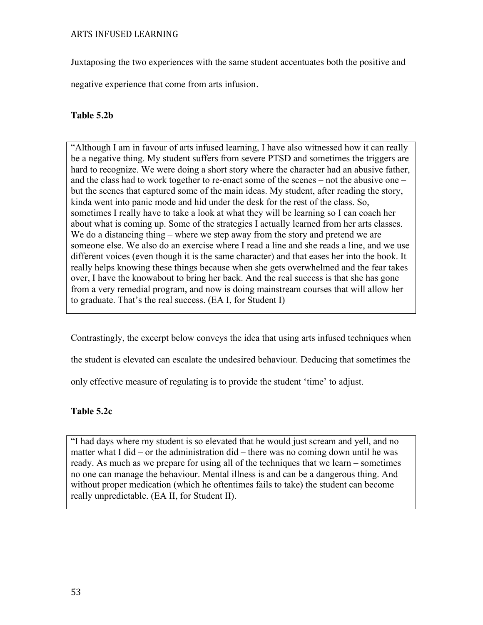Juxtaposing the two experiences with the same student accentuates both the positive and

negative experience that come from arts infusion.

# **Table 5.2b**

"Although I am in favour of arts infused learning, I have also witnessed how it can really be a negative thing. My student suffers from severe PTSD and sometimes the triggers are hard to recognize. We were doing a short story where the character had an abusive father, and the class had to work together to re-enact some of the scenes – not the abusive one – but the scenes that captured some of the main ideas. My student, after reading the story, kinda went into panic mode and hid under the desk for the rest of the class. So, sometimes I really have to take a look at what they will be learning so I can coach her about what is coming up. Some of the strategies I actually learned from her arts classes. We do a distancing thing – where we step away from the story and pretend we are someone else. We also do an exercise where I read a line and she reads a line, and we use different voices (even though it is the same character) and that eases her into the book. It really helps knowing these things because when she gets overwhelmed and the fear takes over, I have the knowabout to bring her back. And the real success is that she has gone from a very remedial program, and now is doing mainstream courses that will allow her to graduate. That's the real success. (EA I, for Student I)

Contrastingly, the excerpt below conveys the idea that using arts infused techniques when

the student is elevated can escalate the undesired behaviour. Deducing that sometimes the

only effective measure of regulating is to provide the student 'time' to adjust.

# **Table 5.2c**

"I had days where my student is so elevated that he would just scream and yell, and no matter what I did – or the administration did – there was no coming down until he was ready. As much as we prepare for using all of the techniques that we learn – sometimes no one can manage the behaviour. Mental illness is and can be a dangerous thing. And without proper medication (which he oftentimes fails to take) the student can become really unpredictable. (EA II, for Student II).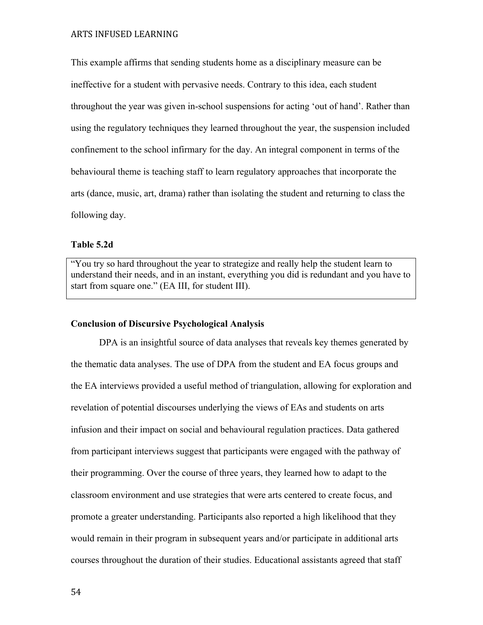This example affirms that sending students home as a disciplinary measure can be ineffective for a student with pervasive needs. Contrary to this idea, each student throughout the year was given in-school suspensions for acting 'out of hand'. Rather than using the regulatory techniques they learned throughout the year, the suspension included confinement to the school infirmary for the day. An integral component in terms of the behavioural theme is teaching staff to learn regulatory approaches that incorporate the arts (dance, music, art, drama) rather than isolating the student and returning to class the following day.

### **Table 5.2d**

"You try so hard throughout the year to strategize and really help the student learn to understand their needs, and in an instant, everything you did is redundant and you have to start from square one." (EA III, for student III).

#### **Conclusion of Discursive Psychological Analysis**

DPA is an insightful source of data analyses that reveals key themes generated by the thematic data analyses. The use of DPA from the student and EA focus groups and the EA interviews provided a useful method of triangulation, allowing for exploration and revelation of potential discourses underlying the views of EAs and students on arts infusion and their impact on social and behavioural regulation practices. Data gathered from participant interviews suggest that participants were engaged with the pathway of their programming. Over the course of three years, they learned how to adapt to the classroom environment and use strategies that were arts centered to create focus, and promote a greater understanding. Participants also reported a high likelihood that they would remain in their program in subsequent years and/or participate in additional arts courses throughout the duration of their studies. Educational assistants agreed that staff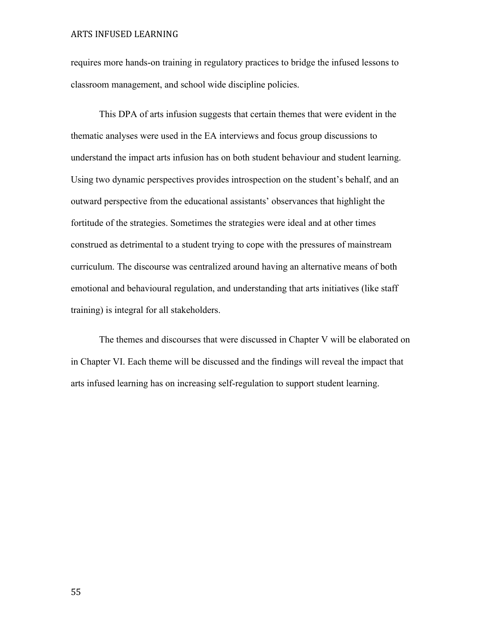requires more hands-on training in regulatory practices to bridge the infused lessons to classroom management, and school wide discipline policies.

This DPA of arts infusion suggests that certain themes that were evident in the thematic analyses were used in the EA interviews and focus group discussions to understand the impact arts infusion has on both student behaviour and student learning. Using two dynamic perspectives provides introspection on the student's behalf, and an outward perspective from the educational assistants' observances that highlight the fortitude of the strategies. Sometimes the strategies were ideal and at other times construed as detrimental to a student trying to cope with the pressures of mainstream curriculum. The discourse was centralized around having an alternative means of both emotional and behavioural regulation, and understanding that arts initiatives (like staff training) is integral for all stakeholders.

The themes and discourses that were discussed in Chapter V will be elaborated on in Chapter VI. Each theme will be discussed and the findings will reveal the impact that arts infused learning has on increasing self-regulation to support student learning.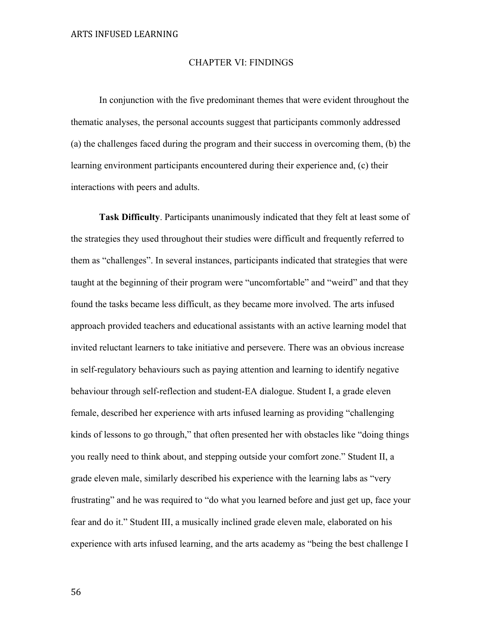### CHAPTER VI: FINDINGS

In conjunction with the five predominant themes that were evident throughout the thematic analyses, the personal accounts suggest that participants commonly addressed (a) the challenges faced during the program and their success in overcoming them, (b) the learning environment participants encountered during their experience and, (c) their interactions with peers and adults.

**Task Difficulty**. Participants unanimously indicated that they felt at least some of the strategies they used throughout their studies were difficult and frequently referred to them as "challenges". In several instances, participants indicated that strategies that were taught at the beginning of their program were "uncomfortable" and "weird" and that they found the tasks became less difficult, as they became more involved. The arts infused approach provided teachers and educational assistants with an active learning model that invited reluctant learners to take initiative and persevere. There was an obvious increase in self-regulatory behaviours such as paying attention and learning to identify negative behaviour through self-reflection and student-EA dialogue. Student I, a grade eleven female, described her experience with arts infused learning as providing "challenging kinds of lessons to go through," that often presented her with obstacles like "doing things you really need to think about, and stepping outside your comfort zone." Student II, a grade eleven male, similarly described his experience with the learning labs as "very frustrating" and he was required to "do what you learned before and just get up, face your fear and do it." Student III, a musically inclined grade eleven male, elaborated on his experience with arts infused learning, and the arts academy as "being the best challenge I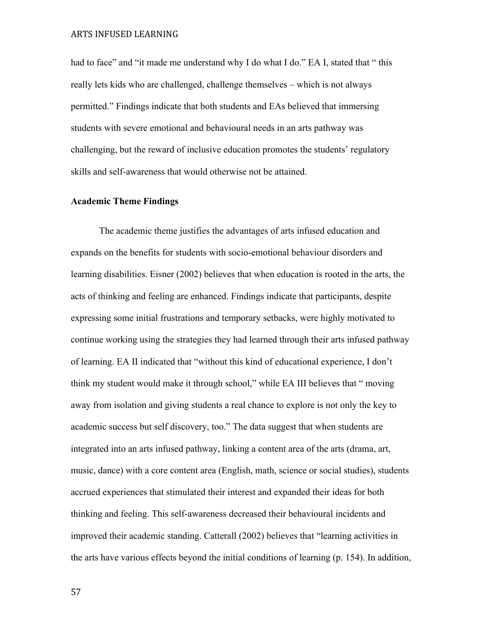had to face" and "it made me understand why I do what I do." EA I, stated that "this really lets kids who are challenged, challenge themselves – which is not always permitted." Findings indicate that both students and EAs believed that immersing students with severe emotional and behavioural needs in an arts pathway was challenging, but the reward of inclusive education promotes the students' regulatory skills and self-awareness that would otherwise not be attained.

### **Academic Theme Findings**

The academic theme justifies the advantages of arts infused education and expands on the benefits for students with socio-emotional behaviour disorders and learning disabilities. Eisner (2002) believes that when education is rooted in the arts, the acts of thinking and feeling are enhanced. Findings indicate that participants, despite expressing some initial frustrations and temporary setbacks, were highly motivated to continue working using the strategies they had learned through their arts infused pathway of learning. EA II indicated that "without this kind of educational experience, I don't think my student would make it through school," while EA III believes that " moving away from isolation and giving students a real chance to explore is not only the key to academic success but self discovery, too." The data suggest that when students are integrated into an arts infused pathway, linking a content area of the arts (drama, art, music, dance) with a core content area (English, math, science or social studies), students accrued experiences that stimulated their interest and expanded their ideas for both thinking and feeling. This self-awareness decreased their behavioural incidents and improved their academic standing. Catterall (2002) believes that "learning activities in the arts have various effects beyond the initial conditions of learning (p. 154). In addition,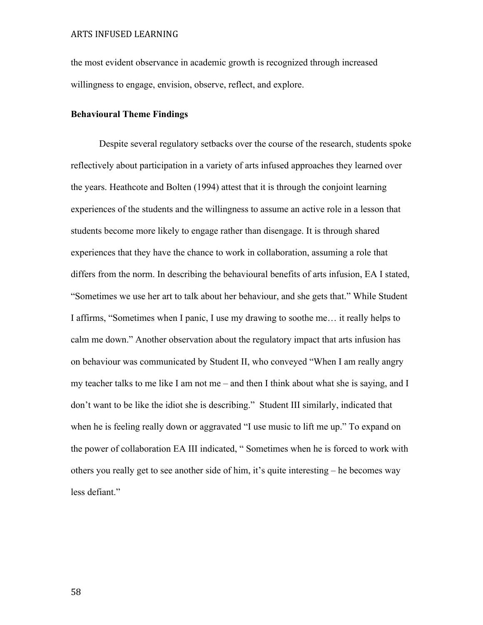the most evident observance in academic growth is recognized through increased willingness to engage, envision, observe, reflect, and explore.

### **Behavioural Theme Findings**

Despite several regulatory setbacks over the course of the research, students spoke reflectively about participation in a variety of arts infused approaches they learned over the years. Heathcote and Bolten (1994) attest that it is through the conjoint learning experiences of the students and the willingness to assume an active role in a lesson that students become more likely to engage rather than disengage. It is through shared experiences that they have the chance to work in collaboration, assuming a role that differs from the norm. In describing the behavioural benefits of arts infusion, EA I stated, "Sometimes we use her art to talk about her behaviour, and she gets that." While Student I affirms, "Sometimes when I panic, I use my drawing to soothe me… it really helps to calm me down." Another observation about the regulatory impact that arts infusion has on behaviour was communicated by Student II, who conveyed "When I am really angry my teacher talks to me like I am not me – and then I think about what she is saying, and I don't want to be like the idiot she is describing." Student III similarly, indicated that when he is feeling really down or aggravated "I use music to lift me up." To expand on the power of collaboration EA III indicated, " Sometimes when he is forced to work with others you really get to see another side of him, it's quite interesting – he becomes way less defiant."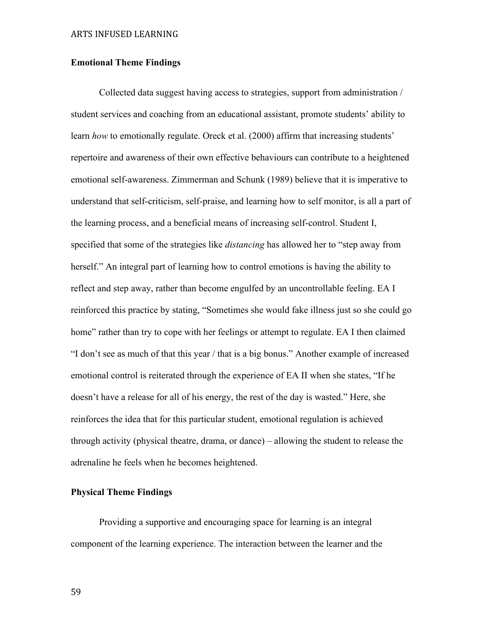### **Emotional Theme Findings**

Collected data suggest having access to strategies, support from administration / student services and coaching from an educational assistant, promote students' ability to learn *how* to emotionally regulate. Oreck et al. (2000) affirm that increasing students' repertoire and awareness of their own effective behaviours can contribute to a heightened emotional self-awareness. Zimmerman and Schunk (1989) believe that it is imperative to understand that self-criticism, self-praise, and learning how to self monitor, is all a part of the learning process, and a beneficial means of increasing self-control. Student I, specified that some of the strategies like *distancing* has allowed her to "step away from herself." An integral part of learning how to control emotions is having the ability to reflect and step away, rather than become engulfed by an uncontrollable feeling. EA I reinforced this practice by stating, "Sometimes she would fake illness just so she could go home" rather than try to cope with her feelings or attempt to regulate. EA I then claimed "I don't see as much of that this year / that is a big bonus." Another example of increased emotional control is reiterated through the experience of EA II when she states, "If he doesn't have a release for all of his energy, the rest of the day is wasted." Here, she reinforces the idea that for this particular student, emotional regulation is achieved through activity (physical theatre, drama, or dance) – allowing the student to release the adrenaline he feels when he becomes heightened.

# **Physical Theme Findings**

Providing a supportive and encouraging space for learning is an integral component of the learning experience. The interaction between the learner and the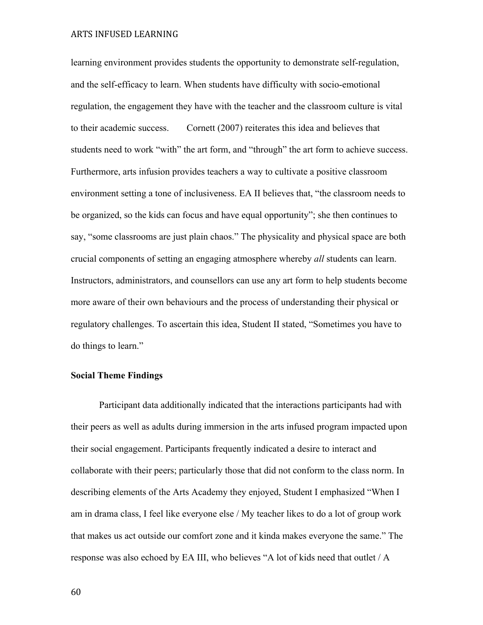learning environment provides students the opportunity to demonstrate self-regulation, and the self-efficacy to learn. When students have difficulty with socio-emotional regulation, the engagement they have with the teacher and the classroom culture is vital to their academic success. Cornett (2007) reiterates this idea and believes that students need to work "with" the art form, and "through" the art form to achieve success. Furthermore, arts infusion provides teachers a way to cultivate a positive classroom environment setting a tone of inclusiveness. EA II believes that, "the classroom needs to be organized, so the kids can focus and have equal opportunity"; she then continues to say, "some classrooms are just plain chaos." The physicality and physical space are both crucial components of setting an engaging atmosphere whereby *all* students can learn. Instructors, administrators, and counsellors can use any art form to help students become more aware of their own behaviours and the process of understanding their physical or regulatory challenges. To ascertain this idea, Student II stated, "Sometimes you have to do things to learn."

### **Social Theme Findings**

Participant data additionally indicated that the interactions participants had with their peers as well as adults during immersion in the arts infused program impacted upon their social engagement. Participants frequently indicated a desire to interact and collaborate with their peers; particularly those that did not conform to the class norm. In describing elements of the Arts Academy they enjoyed, Student I emphasized "When I am in drama class, I feel like everyone else / My teacher likes to do a lot of group work that makes us act outside our comfort zone and it kinda makes everyone the same." The response was also echoed by EA III, who believes "A lot of kids need that outlet / A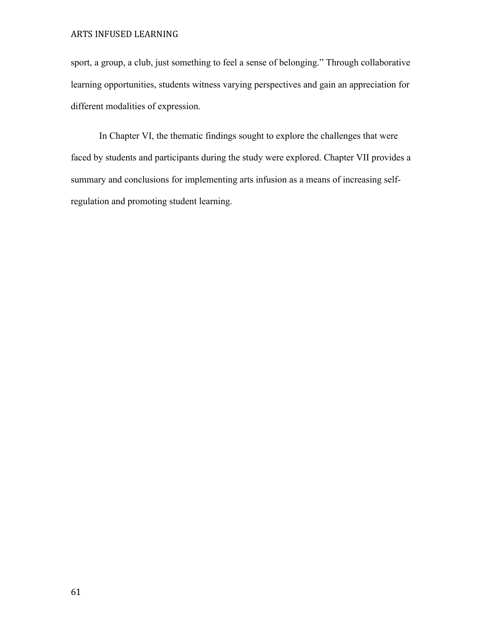sport, a group, a club, just something to feel a sense of belonging." Through collaborative learning opportunities, students witness varying perspectives and gain an appreciation for different modalities of expression.

In Chapter VI, the thematic findings sought to explore the challenges that were faced by students and participants during the study were explored. Chapter VII provides a summary and conclusions for implementing arts infusion as a means of increasing selfregulation and promoting student learning.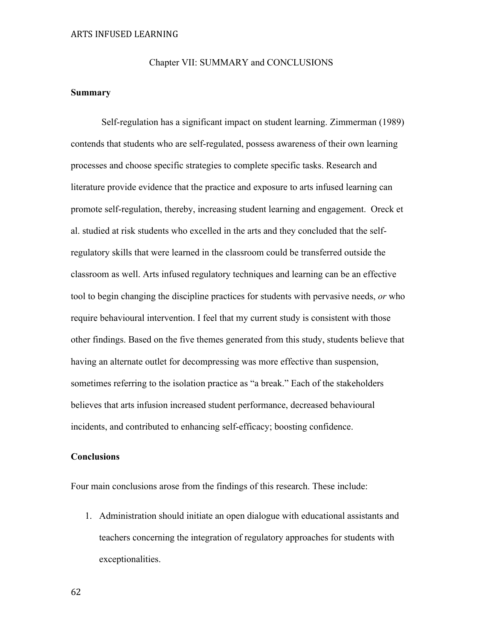Chapter VII: SUMMARY and CONCLUSIONS

#### **Summary**

Self-regulation has a significant impact on student learning. Zimmerman (1989) contends that students who are self-regulated, possess awareness of their own learning processes and choose specific strategies to complete specific tasks. Research and literature provide evidence that the practice and exposure to arts infused learning can promote self-regulation, thereby, increasing student learning and engagement. Oreck et al. studied at risk students who excelled in the arts and they concluded that the selfregulatory skills that were learned in the classroom could be transferred outside the classroom as well. Arts infused regulatory techniques and learning can be an effective tool to begin changing the discipline practices for students with pervasive needs, *or* who require behavioural intervention. I feel that my current study is consistent with those other findings. Based on the five themes generated from this study, students believe that having an alternate outlet for decompressing was more effective than suspension, sometimes referring to the isolation practice as "a break." Each of the stakeholders believes that arts infusion increased student performance, decreased behavioural incidents, and contributed to enhancing self-efficacy; boosting confidence.

### **Conclusions**

Four main conclusions arose from the findings of this research. These include:

1. Administration should initiate an open dialogue with educational assistants and teachers concerning the integration of regulatory approaches for students with exceptionalities.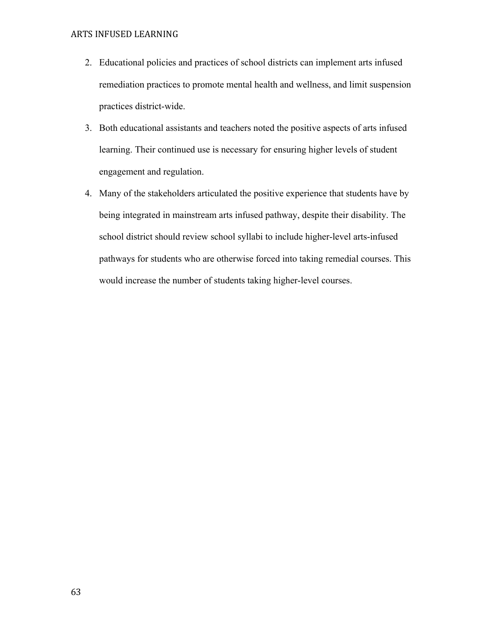- 2. Educational policies and practices of school districts can implement arts infused remediation practices to promote mental health and wellness, and limit suspension practices district-wide.
- 3. Both educational assistants and teachers noted the positive aspects of arts infused learning. Their continued use is necessary for ensuring higher levels of student engagement and regulation.
- 4. Many of the stakeholders articulated the positive experience that students have by being integrated in mainstream arts infused pathway, despite their disability. The school district should review school syllabi to include higher-level arts-infused pathways for students who are otherwise forced into taking remedial courses. This would increase the number of students taking higher-level courses.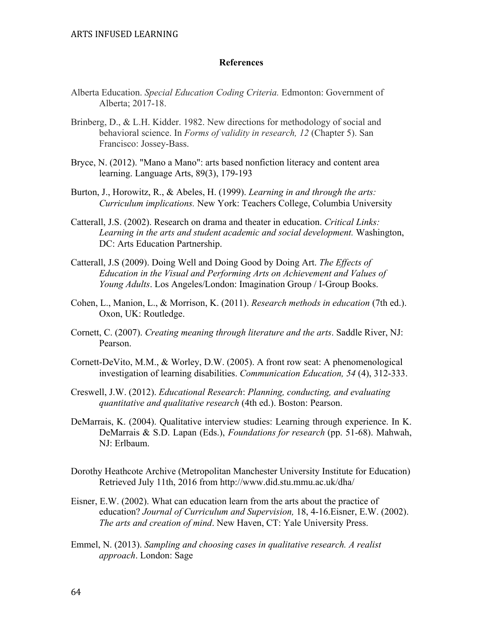#### **References**

- Alberta Education. *Special Education Coding Criteria.* Edmonton: Government of Alberta; 2017-18.
- Brinberg, D., & L.H. Kidder. 1982. New directions for methodology of social and behavioral science. In *Forms of validity in research, 12* (Chapter 5). San Francisco: Jossey-Bass.
- Bryce, N. (2012). "Mano a Mano": arts based nonfiction literacy and content area learning. Language Arts, 89(3), 179-193
- Burton, J., Horowitz, R., & Abeles, H. (1999). *Learning in and through the arts: Curriculum implications.* New York: Teachers College, Columbia University
- Catterall, J.S. (2002). Research on drama and theater in education. *Critical Links: Learning in the arts and student academic and social development.* Washington, DC: Arts Education Partnership.
- Catterall, J.S (2009). Doing Well and Doing Good by Doing Art. *The Effects of Education in the Visual and Performing Arts on Achievement and Values of Young Adults*. Los Angeles/London: Imagination Group / I-Group Books.
- Cohen, L., Manion, L., & Morrison, K. (2011). *Research methods in education* (7th ed.). Oxon, UK: Routledge.
- Cornett, C. (2007). *Creating meaning through literature and the arts*. Saddle River, NJ: Pearson.
- Cornett-DeVito, M.M., & Worley, D.W. (2005). A front row seat: A phenomenological investigation of learning disabilities. *Communication Education, 54* (4), 312-333.
- Creswell, J.W. (2012). *Educational Research*: *Planning, conducting, and evaluating quantitative and qualitative research* (4th ed.). Boston: Pearson.
- DeMarrais, K. (2004). Qualitative interview studies: Learning through experience. In K. DeMarrais & S.D. Lapan (Eds.), *Foundations for research* (pp. 51-68). Mahwah, NJ: Erlbaum.
- Dorothy Heathcote Archive (Metropolitan Manchester University Institute for Education) Retrieved July 11th, 2016 from http://www.did.stu.mmu.ac.uk/dha/
- Eisner, E.W. (2002). What can education learn from the arts about the practice of education? *Journal of Curriculum and Supervision,* 18, 4-16.Eisner, E.W. (2002). *The arts and creation of mind*. New Haven, CT: Yale University Press.
- Emmel, N. (2013). *Sampling and choosing cases in qualitative research. A realist approach*. London: Sage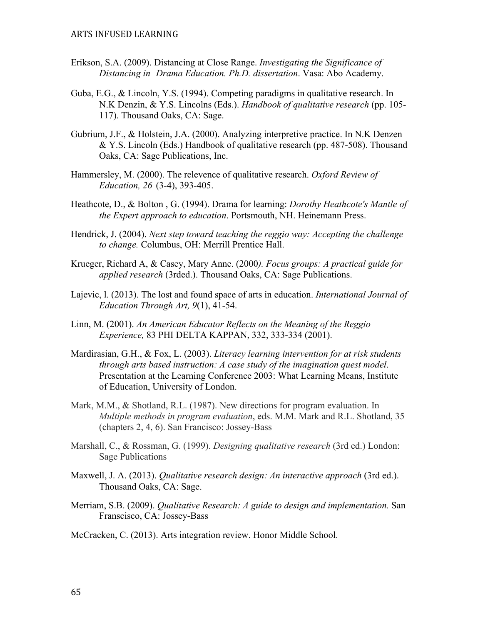- Erikson, S.A. (2009). Distancing at Close Range. *Investigating the Significance of Distancing in Drama Education. Ph.D. dissertation*. Vasa: Abo Academy.
- Guba, E.G., & Lincoln, Y.S. (1994). Competing paradigms in qualitative research. In N.K Denzin, & Y.S. Lincolns (Eds.). *Handbook of qualitative research* (pp. 105- 117). Thousand Oaks, CA: Sage.
- Gubrium, J.F., & Holstein, J.A. (2000). Analyzing interpretive practice. In N.K Denzen & Y.S. Lincoln (Eds.) Handbook of qualitative research (pp. 487-508). Thousand Oaks, CA: Sage Publications, Inc.
- Hammersley, M. (2000). The relevence of qualitative research. *Oxford Review of Education, 26* (3-4), 393-405.
- Heathcote, D., & Bolton , G. (1994). Drama for learning: *Dorothy Heathcote's Mantle of the Expert approach to education*. Portsmouth, NH. Heinemann Press.
- Hendrick, J. (2004). *Next step toward teaching the reggio way: Accepting the challenge to change.* Columbus, OH: Merrill Prentice Hall.
- Krueger, Richard A, & Casey, Mary Anne. (2000*). Focus groups: A practical guide for applied research* (3rded.). Thousand Oaks, CA: Sage Publications.
- Lajevic, l. (2013). The lost and found space of arts in education. *International Journal of Education Through Art, 9*(1), 41-54.
- Linn, M. (2001). *An American Educator Reflects on the Meaning of the Reggio Experience,* 83 PHI DELTA KAPPAN, 332, 333-334 (2001).
- Mardirasian, G.H., & Fox, L. (2003). *Literacy learning intervention for at risk students through arts based instruction: A case study of the imagination quest model*. Presentation at the Learning Conference 2003: What Learning Means, Institute of Education, University of London.
- Mark, M.M., & Shotland, R.L. (1987). New directions for program evaluation. In *Multiple methods in program evaluation*, eds. M.M. Mark and R.L. Shotland, 35 (chapters 2, 4, 6). San Francisco: Jossey-Bass
- Marshall, C., & Rossman, G. (1999). *Designing qualitative research* (3rd ed.) London: Sage Publications
- Maxwell, J. A. (2013). *Qualitative research design: An interactive approach* (3rd ed.). Thousand Oaks, CA: Sage.
- Merriam, S.B. (2009). *Qualitative Research: A guide to design and implementation.* San Franscisco, CA: Jossey-Bass
- McCracken, C. (2013). Arts integration review. Honor Middle School.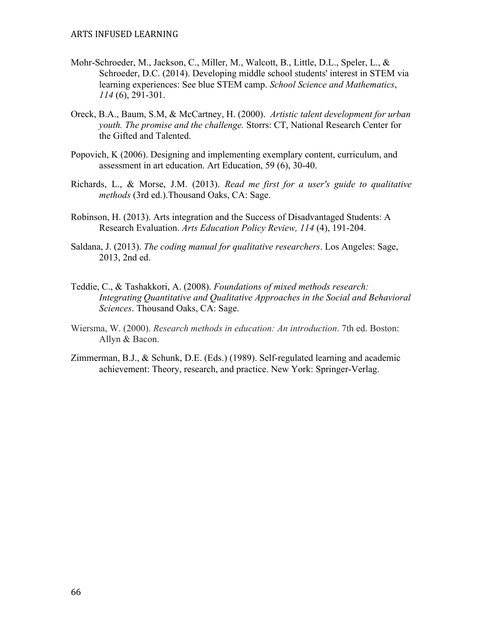- Mohr-Schroeder, M., Jackson, C., Miller, M., Walcott, B., Little, D.L., Speler, L., & Schroeder, D.C. (2014). Developing middle school students' interest in STEM via learning experiences: See blue STEM camp. *School Science and Mathematics*, *114* (6), 291-301.
- Oreck, B.A., Baum, S.M, & McCartney, H. (2000). *Artistic talent development for urban youth. The promise and the challenge.* Storrs: CT, National Research Center for the Gifted and Talented.
- Popovich, K (2006). Designing and implementing exemplary content, curriculum, and assessment in art education. Art Education, 59 (6), 30-40.
- Richards, L., & Morse, J.M. (2013). *Read me first for a user's guide to qualitative methods* (3rd ed.).Thousand Oaks, CA: Sage.
- Robinson, H. (2013). Arts integration and the Success of Disadvantaged Students: A Research Evaluation. *Arts Education Policy Review, 114* (4), 191-204.
- Saldana, J. (2013). *The coding manual for qualitative researchers*. Los Angeles: Sage, 2013, 2nd ed.
- Teddie, C., & Tashakkori, A. (2008). *Foundations of mixed methods research: Integrating Quantitative and Qualitative Approaches in the Social and Behavioral Sciences*. Thousand Oaks, CA: Sage.
- Wiersma, W. (2000). *Research methods in education: An introduction*. 7th ed. Boston: Allyn & Bacon.
- Zimmerman, B.J., & Schunk, D.E. (Eds.) (1989). Self-regulated learning and academic achievement: Theory, research, and practice. New York: Springer-Verlag.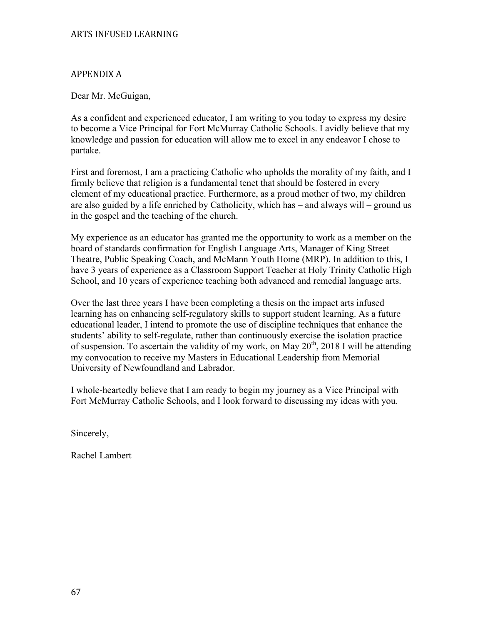# APPENDIX A

Dear Mr. McGuigan,

As a confident and experienced educator, I am writing to you today to express my desire to become a Vice Principal for Fort McMurray Catholic Schools. I avidly believe that my knowledge and passion for education will allow me to excel in any endeavor I chose to partake.

First and foremost, I am a practicing Catholic who upholds the morality of my faith, and I firmly believe that religion is a fundamental tenet that should be fostered in every element of my educational practice. Furthermore, as a proud mother of two, my children are also guided by a life enriched by Catholicity, which has – and always will – ground us in the gospel and the teaching of the church.

My experience as an educator has granted me the opportunity to work as a member on the board of standards confirmation for English Language Arts, Manager of King Street Theatre, Public Speaking Coach, and McMann Youth Home (MRP). In addition to this, I have 3 years of experience as a Classroom Support Teacher at Holy Trinity Catholic High School, and 10 years of experience teaching both advanced and remedial language arts.

Over the last three years I have been completing a thesis on the impact arts infused learning has on enhancing self-regulatory skills to support student learning. As a future educational leader, I intend to promote the use of discipline techniques that enhance the students' ability to self-regulate, rather than continuously exercise the isolation practice of suspension. To ascertain the validity of my work, on May  $20^{th}$ ,  $2018$  I will be attending my convocation to receive my Masters in Educational Leadership from Memorial University of Newfoundland and Labrador.

I whole-heartedly believe that I am ready to begin my journey as a Vice Principal with Fort McMurray Catholic Schools, and I look forward to discussing my ideas with you.

Sincerely,

Rachel Lambert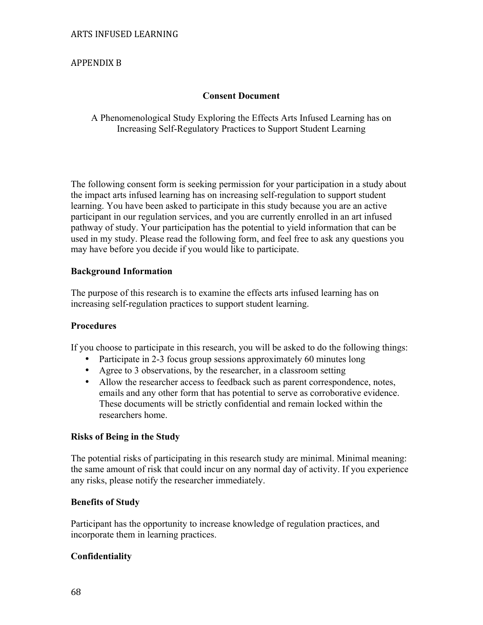# **APPENDIX B**

### **Consent Document**

A Phenomenological Study Exploring the Effects Arts Infused Learning has on Increasing Self-Regulatory Practices to Support Student Learning

The following consent form is seeking permission for your participation in a study about the impact arts infused learning has on increasing self-regulation to support student learning. You have been asked to participate in this study because you are an active participant in our regulation services, and you are currently enrolled in an art infused pathway of study. Your participation has the potential to yield information that can be used in my study. Please read the following form, and feel free to ask any questions you may have before you decide if you would like to participate.

### **Background Information**

The purpose of this research is to examine the effects arts infused learning has on increasing self-regulation practices to support student learning.

### **Procedures**

If you choose to participate in this research, you will be asked to do the following things:

- Participate in 2-3 focus group sessions approximately 60 minutes long
- Agree to 3 observations, by the researcher, in a classroom setting
- Allow the researcher access to feedback such as parent correspondence, notes, emails and any other form that has potential to serve as corroborative evidence. These documents will be strictly confidential and remain locked within the researchers home.

### **Risks of Being in the Study**

The potential risks of participating in this research study are minimal. Minimal meaning: the same amount of risk that could incur on any normal day of activity. If you experience any risks, please notify the researcher immediately.

### **Benefits of Study**

Participant has the opportunity to increase knowledge of regulation practices, and incorporate them in learning practices.

# **Confidentiality**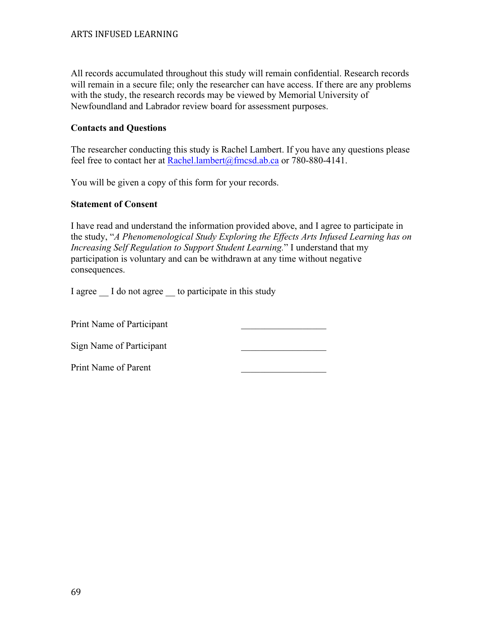All records accumulated throughout this study will remain confidential. Research records will remain in a secure file; only the researcher can have access. If there are any problems with the study, the research records may be viewed by Memorial University of Newfoundland and Labrador review board for assessment purposes.

# **Contacts and Questions**

The researcher conducting this study is Rachel Lambert. If you have any questions please feel free to contact her at Rachel.lambert@fmcsd.ab.ca or 780-880-4141.

You will be given a copy of this form for your records.

### **Statement of Consent**

I have read and understand the information provided above, and I agree to participate in the study, "*A Phenomenological Study Exploring the Effects Arts Infused Learning has on Increasing Self Regulation to Support Student Learning.*" I understand that my participation is voluntary and can be withdrawn at any time without negative consequences.

I agree I do not agree to participate in this study

Print Name of Participant

Sign Name of Participant

Print Name of Parent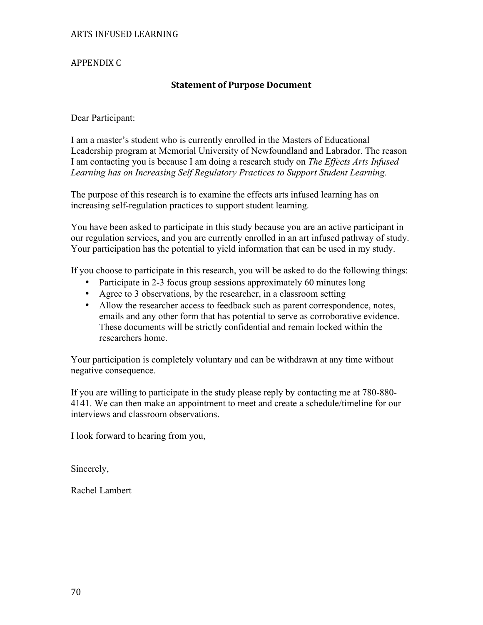# APPENDIX C

# **Statement of Purpose Document**

# Dear Participant:

I am a master's student who is currently enrolled in the Masters of Educational Leadership program at Memorial University of Newfoundland and Labrador. The reason I am contacting you is because I am doing a research study on *The Effects Arts Infused Learning has on Increasing Self Regulatory Practices to Support Student Learning.*

The purpose of this research is to examine the effects arts infused learning has on increasing self-regulation practices to support student learning.

You have been asked to participate in this study because you are an active participant in our regulation services, and you are currently enrolled in an art infused pathway of study. Your participation has the potential to yield information that can be used in my study.

If you choose to participate in this research, you will be asked to do the following things:

- Participate in 2-3 focus group sessions approximately 60 minutes long
- Agree to 3 observations, by the researcher, in a classroom setting
- Allow the researcher access to feedback such as parent correspondence, notes, emails and any other form that has potential to serve as corroborative evidence. These documents will be strictly confidential and remain locked within the researchers home.

Your participation is completely voluntary and can be withdrawn at any time without negative consequence.

If you are willing to participate in the study please reply by contacting me at 780-880- 4141. We can then make an appointment to meet and create a schedule/timeline for our interviews and classroom observations.

I look forward to hearing from you,

Sincerely,

Rachel Lambert